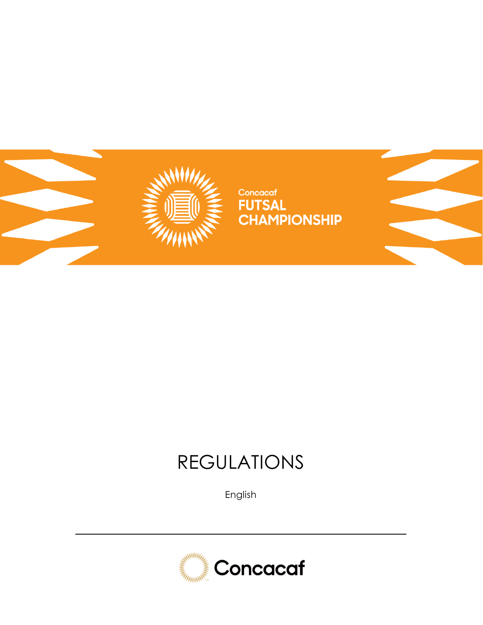

# REGULATIONS

English

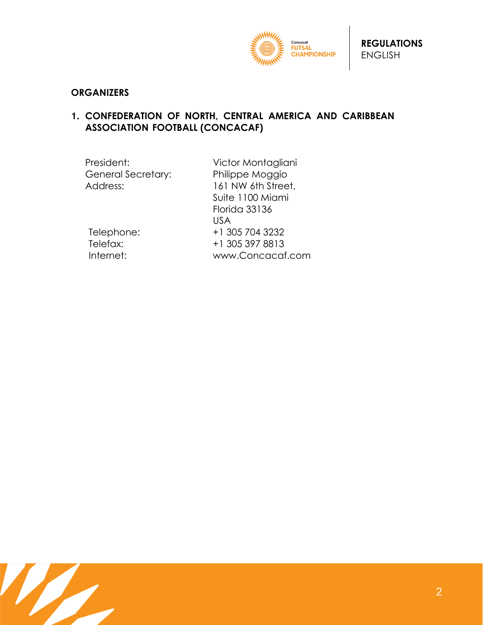

#### **ORGANIZERS**

#### **1. CONFEDERATION OF NORTH, CENTRAL AMERICA AND CARIBBEAN ASSOCIATION FOOTBALL (CONCACAF)**

| President:         | Victor Montagliani   |
|--------------------|----------------------|
| General Secretary: | Philippe Moggio      |
| Address:           | 161 NW 6th Street,   |
|                    | Suite 1100 Miami     |
|                    | <b>Florida 33136</b> |
|                    | <b>USA</b>           |
| Telephone:         | +1 305 704 3232      |
| Telefax:           | +1 305 397 8813      |
| Internet:          | www.Concacaf.com     |
|                    |                      |

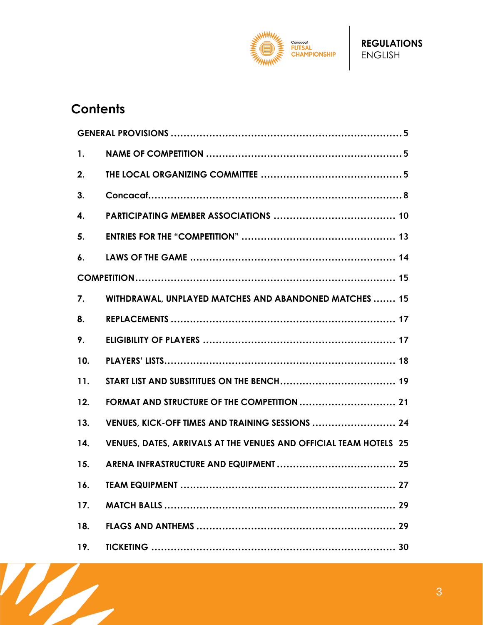

# **Contents**

W

| $\mathbf{1}$ . |                                                                   |
|----------------|-------------------------------------------------------------------|
| 2.             |                                                                   |
| 3.             |                                                                   |
| 4.             |                                                                   |
| 5.             |                                                                   |
| 6.             |                                                                   |
|                |                                                                   |
| 7.             | WITHDRAWAL, UNPLAYED MATCHES AND ABANDONED MATCHES  15            |
| 8.             |                                                                   |
| 9.             |                                                                   |
| 10.            |                                                                   |
| 11.            |                                                                   |
| 12.            | FORMAT AND STRUCTURE OF THE COMPETITION  21                       |
| 13.            | VENUES, KICK-OFF TIMES AND TRAINING SESSIONS  24                  |
| 14.            | VENUES, DATES, ARRIVALS AT THE VENUES AND OFFICIAL TEAM HOTELS 25 |
| 15.            |                                                                   |
| 16.            |                                                                   |
| 17.            |                                                                   |
| 18.            |                                                                   |
| 19.            |                                                                   |

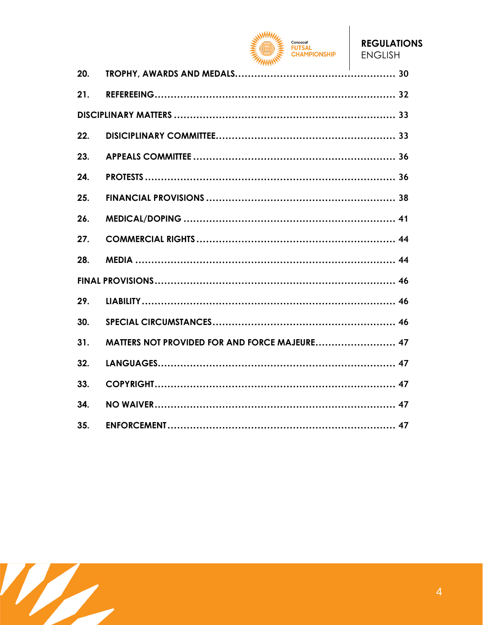

| 20. |  |
|-----|--|
| 21. |  |
|     |  |
| 22. |  |
| 23. |  |
| 24. |  |
| 25. |  |
| 26. |  |
| 27. |  |
| 28. |  |
|     |  |
| 29. |  |
| 30. |  |
| 31. |  |
| 32. |  |
| 33. |  |
| 34. |  |
| 35. |  |

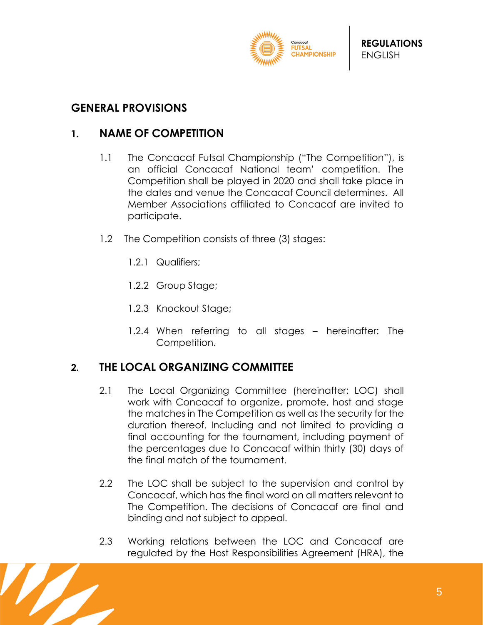

#### <span id="page-4-0"></span>**GENERAL PROVISIONS**

#### <span id="page-4-1"></span>**1. NAME OF COMPETITION**

- 1.1 The Concacaf Futsal Championship ("The Competition"), is an official Concacaf National team' competition. The Competition shall be played in 2020 and shall take place in the dates and venue the Concacaf Council determines. All Member Associations affiliated to Concacaf are invited to participate.
- 1.2 The Competition consists of three (3) stages:
	- 1.2.1 Qualifiers;
	- 1.2.2 Group Stage;
	- 1.2.3 Knockout Stage;
	- 1.2.4 When referring to all stages hereinafter: The Competition.

## <span id="page-4-2"></span>**2. THE LOCAL ORGANIZING COMMITTEE**

- 2.1 The Local Organizing Committee (hereinafter: LOC) shall work with Concacaf to organize, promote, host and stage the matches in The Competition as well as the security for the duration thereof. Including and not limited to providing a final accounting for the tournament, including payment of the percentages due to Concacaf within thirty (30) days of the final match of the tournament.
- 2.2 The LOC shall be subject to the supervision and control by Concacaf, which has the final word on all matters relevant to The Competition. The decisions of Concacaf are final and binding and not subject to appeal.
- 2.3 Working relations between the LOC and Concacaf are regulated by the Host Responsibilities Agreement (HRA), the

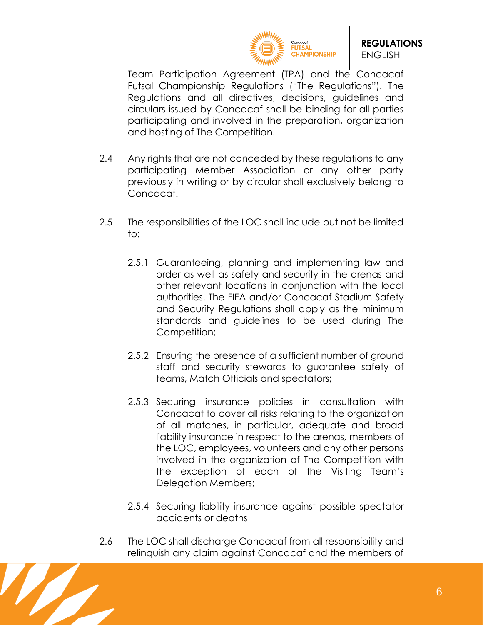

Team Participation Agreement (TPA) and the Concacaf Futsal Championship Regulations ("The Regulations"). The Regulations and all directives, decisions, guidelines and circulars issued by Concacaf shall be binding for all parties participating and involved in the preparation, organization and hosting of The Competition.

- 2.4 Any rights that are not conceded by these regulations to any participating Member Association or any other party previously in writing or by circular shall exclusively belong to Concacaf.
- 2.5 The responsibilities of the LOC shall include but not be limited to:
	- 2.5.1 Guaranteeing, planning and implementing law and order as well as safety and security in the arenas and other relevant locations in conjunction with the local authorities. The FIFA and/or Concacaf Stadium Safety and Security Regulations shall apply as the minimum standards and guidelines to be used during The Competition;
	- 2.5.2 Ensuring the presence of a sufficient number of ground staff and security stewards to guarantee safety of teams, Match Officials and spectators;
	- 2.5.3 Securing insurance policies in consultation with Concacaf to cover all risks relating to the organization of all matches, in particular, adequate and broad liability insurance in respect to the arenas, members of the LOC, employees, volunteers and any other persons involved in the organization of The Competition with the exception of each of the Visiting Team's Delegation Members;
	- 2.5.4 Securing liability insurance against possible spectator accidents or deaths
- 2.6 The LOC shall discharge Concacaf from all responsibility and relinquish any claim against Concacaf and the members of

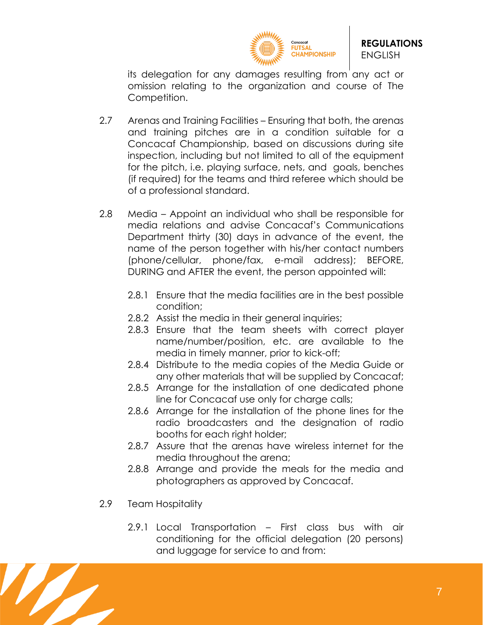

its delegation for any damages resulting from any act or omission relating to the organization and course of The Competition.

- 2.7 Arenas and Training Facilities Ensuring that both, the arenas and training pitches are in a condition suitable for a Concacaf Championship, based on discussions during site inspection, including but not limited to all of the equipment for the pitch, i.e. playing surface, nets, and goals, benches (if required) for the teams and third referee which should be of a professional standard.
- 2.8 Media Appoint an individual who shall be responsible for media relations and advise Concacaf's Communications Department thirty (30) days in advance of the event, the name of the person together with his/her contact numbers (phone/cellular, phone/fax, e-mail address); BEFORE, DURING and AFTER the event, the person appointed will:
	- 2.8.1 Ensure that the media facilities are in the best possible condition;
	- 2.8.2 Assist the media in their general inquiries;
	- 2.8.3 Ensure that the team sheets with correct player name/number/position, etc. are available to the media in timely manner, prior to kick-off;
	- 2.8.4 Distribute to the media copies of the Media Guide or any other materials that will be supplied by Concacaf;
	- 2.8.5 Arrange for the installation of one dedicated phone line for Concacaf use only for charge calls;
	- 2.8.6 Arrange for the installation of the phone lines for the radio broadcasters and the designation of radio booths for each right holder;
	- 2.8.7 Assure that the arenas have wireless internet for the media throughout the arena;
	- 2.8.8 Arrange and provide the meals for the media and photographers as approved by Concacaf.
- 2.9 Team Hospitality
	- 2.9.1 Local Transportation First class bus with air conditioning for the official delegation (20 persons) and luggage for service to and from:

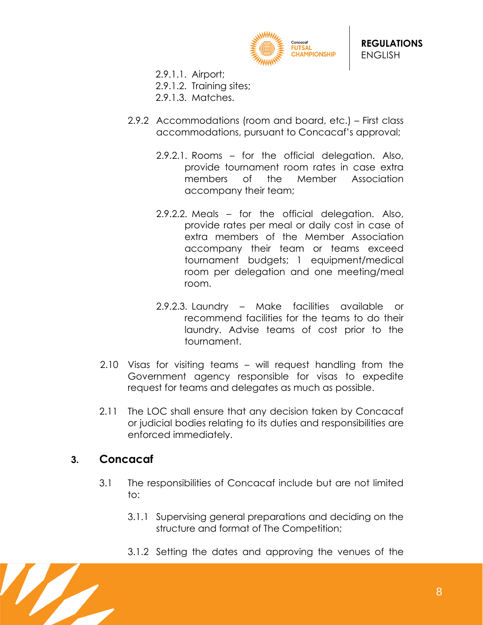

- 2.9.1.1. Airport;
- 2.9.1.2. Training sites;
- 2.9.1.3. Matches.
- 2.9.2 Accommodations (room and board, etc.) First class accommodations, pursuant to Concacaf's approval;
	- 2.9.2.1. Rooms for the official delegation. Also, provide tournament room rates in case extra members of the Member Association accompany their team;
	- 2.9.2.2. Meals for the official delegation. Also, provide rates per meal or daily cost in case of extra members of the Member Association accompany their team or teams exceed tournament budgets; 1 equipment/medical room per delegation and one meeting/meal room.
	- 2.9.2.3. Laundry Make facilities available or recommend facilities for the teams to do their laundry. Advise teams of cost prior to the tournament.
- 2.10 Visas for visiting teams will request handling from the Government agency responsible for visas to expedite request for teams and delegates as much as possible.
- 2.11 The LOC shall ensure that any decision taken by Concacaf or judicial bodies relating to its duties and responsibilities are enforced immediately.

#### <span id="page-7-0"></span>**3. Concacaf**

- 3.1 The responsibilities of Concacaf include but are not limited to:
	- 3.1.1 Supervising general preparations and deciding on the structure and format of The Competition;
	- 3.1.2 Setting the dates and approving the venues of the

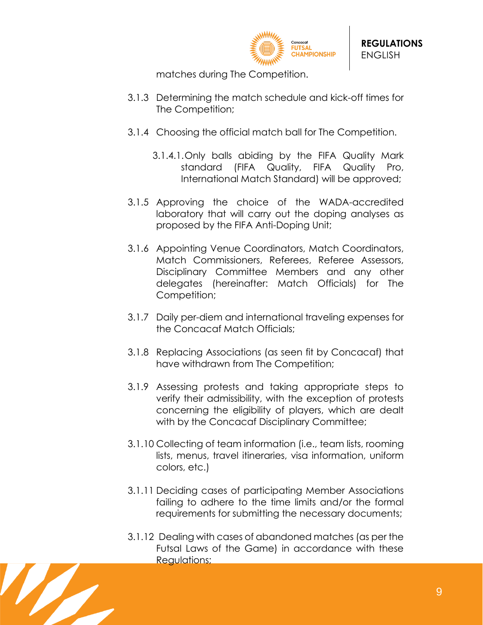

matches during The Competition.

- 3.1.3 Determining the match schedule and kick-off times for The Competition;
- 3.1.4 Choosing the official match ball for The Competition.
	- 3.1.4.1.Only balls abiding by the FIFA Quality Mark standard (FIFA Quality, FIFA Quality Pro, International Match Standard) will be approved;
- 3.1.5 Approving the choice of the WADA-accredited laboratory that will carry out the doping analyses as proposed by the FIFA Anti-Doping Unit;
- 3.1.6 Appointing Venue Coordinators, Match Coordinators, Match Commissioners, Referees, Referee Assessors, Disciplinary Committee Members and any other delegates (hereinafter: Match Officials) for The Competition;
- 3.1.7 Daily per-diem and international traveling expenses for the Concacaf Match Officials;
- 3.1.8 Replacing Associations (as seen fit by Concacaf) that have withdrawn from The Competition;
- 3.1.9 Assessing protests and taking appropriate steps to verify their admissibility, with the exception of protests concerning the eligibility of players, which are dealt with by the Concacaf Disciplinary Committee;
- 3.1.10 Collecting of team information (i.e., team lists, rooming lists, menus, travel itineraries, visa information, uniform colors, etc.)
- 3.1.11 Deciding cases of participating Member Associations failing to adhere to the time limits and/or the formal requirements for submitting the necessary documents;
- 3.1.12 Dealing with cases of abandoned matches (as per the Futsal Laws of the Game) in accordance with these Regulations;

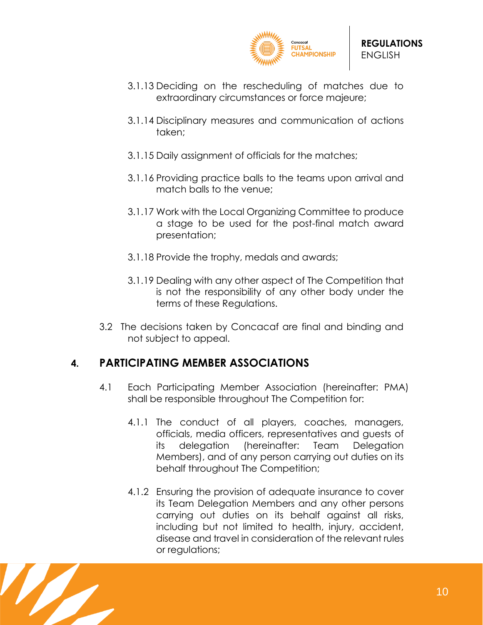

- 3.1.13 Deciding on the rescheduling of matches due to extraordinary circumstances or force majeure;
- 3.1.14 Disciplinary measures and communication of actions taken;
- 3.1.15 Daily assignment of officials for the matches;
- 3.1.16 Providing practice balls to the teams upon arrival and match balls to the venue;
- 3.1.17 Work with the Local Organizing Committee to produce a stage to be used for the post-final match award presentation;
- 3.1.18 Provide the trophy, medals and awards;
- 3.1.19 Dealing with any other aspect of The Competition that is not the responsibility of any other body under the terms of these Regulations.
- 3.2 The decisions taken by Concacaf are final and binding and not subject to appeal.

## <span id="page-9-0"></span>**4. PARTICIPATING MEMBER ASSOCIATIONS**

- 4.1 Each Participating Member Association (hereinafter: PMA) shall be responsible throughout The Competition for:
	- 4.1.1 The conduct of all players, coaches, managers, officials, media officers, representatives and guests of its delegation (hereinafter: Team Delegation Members), and of any person carrying out duties on its behalf throughout The Competition;
	- 4.1.2 Ensuring the provision of adequate insurance to cover its Team Delegation Members and any other persons carrying out duties on its behalf against all risks, including but not limited to health, injury, accident, disease and travel in consideration of the relevant rules or regulations;

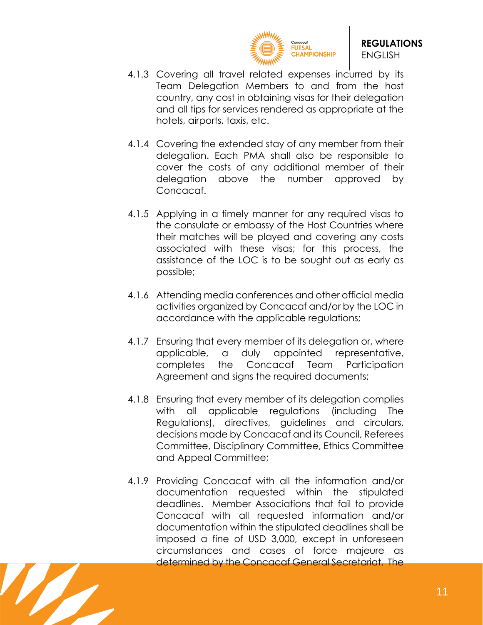

- 4.1.3 Covering all travel related expenses incurred by its Team Delegation Members to and from the host country, any cost in obtaining visas for their delegation and all tips for services rendered as appropriate at the hotels, airports, taxis, etc.
- 4.1.4 Covering the extended stay of any member from their delegation. Each PMA shall also be responsible to cover the costs of any additional member of their delegation above the number approved by Concacaf.
- 4.1.5 Applying in a timely manner for any required visas to the consulate or embassy of the Host Countries where their matches will be played and covering any costs associated with these visas; for this process, the assistance of the LOC is to be sought out as early as possible;
- 4.1.6 Attending media conferences and other official media activities organized by Concacaf and/or by the LOC in accordance with the applicable regulations;
- 4.1.7 Ensuring that every member of its delegation or, where applicable, a duly appointed representative, completes the Concacaf Team Participation Agreement and signs the required documents;
- 4.1.8 Ensuring that every member of its delegation complies with all applicable regulations (including The Regulations), directives, guidelines and circulars, decisions made by Concacaf and its Council, Referees Committee, Disciplinary Committee, Ethics Committee and Appeal Committee;
- 4.1.9 Providing Concacaf with all the information and/or documentation requested within the stipulated deadlines. Member Associations that fail to provide Concacaf with all requested information and/or documentation within the stipulated deadlines shall be imposed a fine of USD 3,000, except in unforeseen circumstances and cases of force majeure as determined by the Concacaf General Secretariat. The

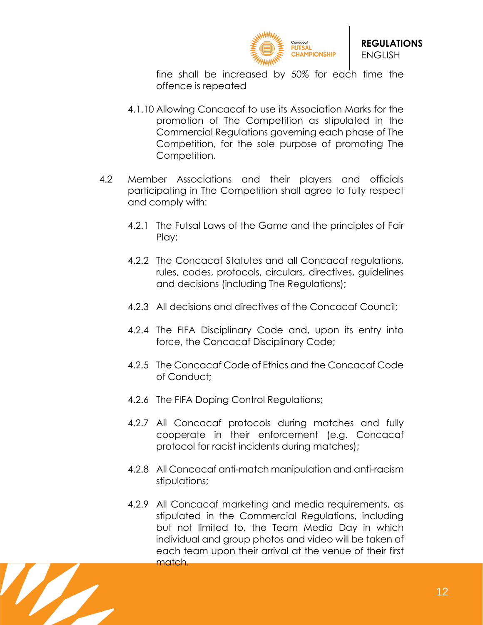

fine shall be increased by 50% for each time the offence is repeated

- 4.1.10 Allowing Concacaf to use its Association Marks for the promotion of The Competition as stipulated in the Commercial Regulations governing each phase of The Competition, for the sole purpose of promoting The Competition.
- 4.2 Member Associations and their players and officials participating in The Competition shall agree to fully respect and comply with:
	- 4.2.1 The Futsal Laws of the Game and the principles of Fair Play;
	- 4.2.2 The Concacaf Statutes and all Concacaf regulations, rules, codes, protocols, circulars, directives, guidelines and decisions (including The Regulations);
	- 4.2.3 All decisions and directives of the Concacaf Council;
	- 4.2.4 The FIFA Disciplinary Code and, upon its entry into force, the Concacaf Disciplinary Code;
	- 4.2.5 The Concacaf Code of Ethics and the Concacaf Code of Conduct;
	- 4.2.6 The FIFA Doping Control Regulations;
	- 4.2.7 All Concacaf protocols during matches and fully cooperate in their enforcement (e.g. Concacaf protocol for racist incidents during matches);
	- 4.2.8 All Concacaf anti-match manipulation and anti-racism stipulations;
	- 4.2.9 All Concacaf marketing and media requirements, as stipulated in the Commercial Regulations, including but not limited to, the Team Media Day in which individual and group photos and video will be taken of each team upon their arrival at the venue of their first match.

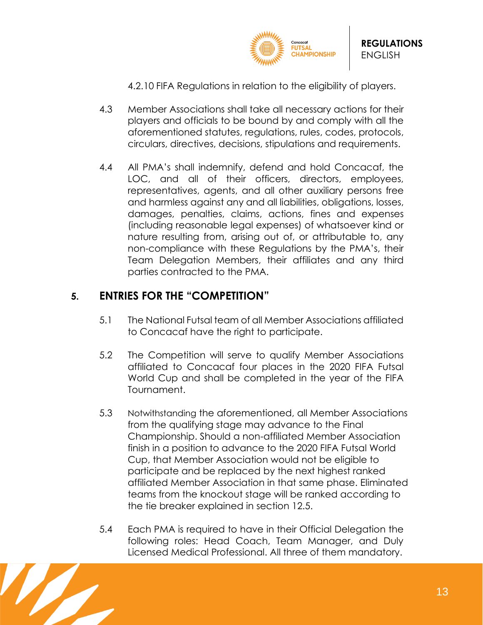

4.2.10 FIFA Regulations in relation to the eligibility of players.

- 4.3 Member Associations shall take all necessary actions for their players and officials to be bound by and comply with all the aforementioned statutes, regulations, rules, codes, protocols, circulars, directives, decisions, stipulations and requirements.
- 4.4 All PMA's shall indemnify, defend and hold Concacaf, the LOC, and all of their officers, directors, employees, representatives, agents, and all other auxiliary persons free and harmless against any and all liabilities, obligations, losses, damages, penalties, claims, actions, fines and expenses (including reasonable legal expenses) of whatsoever kind or nature resulting from, arising out of, or attributable to, any non-compliance with these Regulations by the PMA's, their Team Delegation Members, their affiliates and any third parties contracted to the PMA.

# <span id="page-12-0"></span>**5. ENTRIES FOR THE "COMPETITION"**

- 5.1 The National Futsal team of all Member Associations affiliated to Concacaf have the right to participate.
- 5.2 The Competition will serve to qualify Member Associations affiliated to Concacaf four places in the 2020 FIFA Futsal World Cup and shall be completed in the year of the FIFA Tournament.
- 5.3 Notwithstanding the aforementioned, all Member Associations from the qualifying stage may advance to the Final Championship. Should a non-affiliated Member Association finish in a position to advance to the 2020 FIFA Futsal World Cup, that Member Association would not be eligible to participate and be replaced by the next highest ranked affiliated Member Association in that same phase. Eliminated teams from the knockout stage will be ranked according to the tie breaker explained in section 12.5.
- 5.4 Each PMA is required to have in their Official Delegation the following roles: Head Coach, Team Manager, and Duly Licensed Medical Professional. All three of them mandatory.

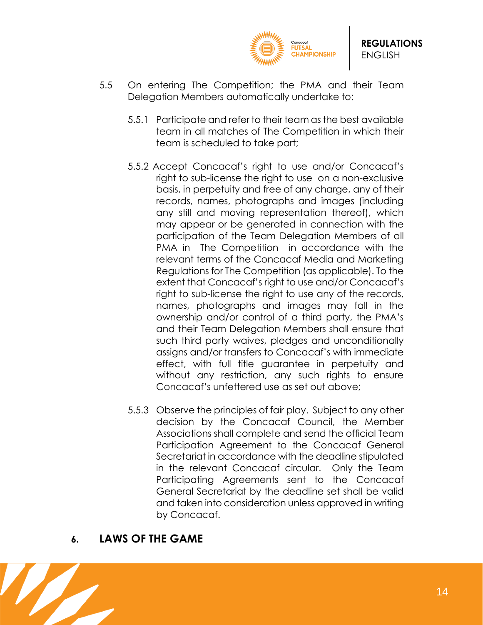

- 5.5 On entering The Competition; the PMA and their Team Delegation Members automatically undertake to:
	- 5.5.1 Participate and refer to their team as the best available team in all matches of The Competition in which their team is scheduled to take part;
	- 5.5.2 Accept Concacaf's right to use and/or Concacaf's right to sub-license the right to use on a non-exclusive basis, in perpetuity and free of any charge, any of their records, names, photographs and images (including any still and moving representation thereof), which may appear or be generated in connection with the participation of the Team Delegation Members of all PMA in The Competition in accordance with the relevant terms of the Concacaf Media and Marketing Regulations for The Competition (as applicable). To the extent that Concacaf's right to use and/or Concacaf's right to sub-license the right to use any of the records, names, photographs and images may fall in the ownership and/or control of a third party, the PMA's and their Team Delegation Members shall ensure that such third party waives, pledges and unconditionally assigns and/or transfers to Concacaf's with immediate effect, with full title guarantee in perpetuity and without any restriction, any such rights to ensure Concacaf's unfettered use as set out above;
	- 5.5.3 Observe the principles of fair play. Subject to any other decision by the Concacaf Council, the Member Associations shall complete and send the official Team Participation Agreement to the Concacaf General Secretariat in accordance with the deadline stipulated in the relevant Concacaf circular. Only the Team Participating Agreements sent to the Concacaf General Secretariat by the deadline set shall be valid and taken into consideration unless approved in writing by Concacaf.

#### <span id="page-13-0"></span>**6. LAWS OF THE GAME**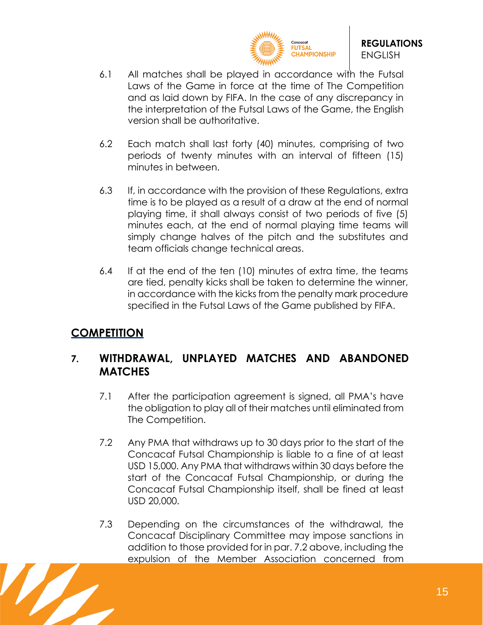

- 6.1 All matches shall be played in accordance with the Futsal Laws of the Game in force at the time of The Competition and as laid down by FIFA. In the case of any discrepancy in the interpretation of the Futsal Laws of the Game, the English version shall be authoritative.
- 6.2 Each match shall last forty (40) minutes, comprising of two periods of twenty minutes with an interval of fifteen (15) minutes in between.
- 6.3 If, in accordance with the provision of these Regulations, extra time is to be played as a result of a draw at the end of normal playing time, it shall always consist of two periods of five (5) minutes each, at the end of normal playing time teams will simply change halves of the pitch and the substitutes and team officials change technical areas.
- 6.4 If at the end of the ten (10) minutes of extra time, the teams are tied, penalty kicks shall be taken to determine the winner, in accordance with the kicks from the penalty mark procedure specified in the Futsal Laws of the Game published by FIFA.

# <span id="page-14-0"></span>**COMPETITION**

## <span id="page-14-1"></span>**7. WITHDRAWAL, UNPLAYED MATCHES AND ABANDONED MATCHES**

- 7.1 After the participation agreement is signed, all PMA's have the obligation to play all of their matches until eliminated from The Competition.
- 7.2 Any PMA that withdraws up to 30 days prior to the start of the Concacaf Futsal Championship is liable to a fine of at least USD 15,000. Any PMA that withdraws within 30 days before the start of the Concacaf Futsal Championship, or during the Concacaf Futsal Championship itself, shall be fined at least USD 20,000.
- 7.3 Depending on the circumstances of the withdrawal, the Concacaf Disciplinary Committee may impose sanctions in addition to those provided for in par. 7.2 above, including the expulsion of the Member Association concerned from

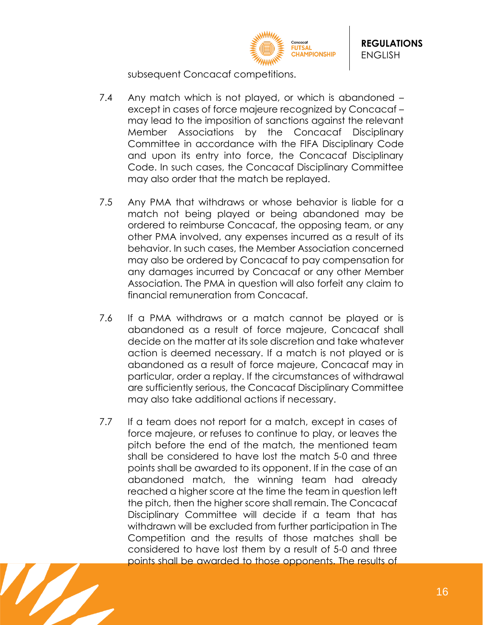

subsequent Concacaf competitions.

- 7.4 Any match which is not played, or which is abandoned except in cases of force majeure recognized by Concacaf – may lead to the imposition of sanctions against the relevant Member Associations by the Concacaf Disciplinary Committee in accordance with the FIFA Disciplinary Code and upon its entry into force, the Concacaf Disciplinary Code. In such cases, the Concacaf Disciplinary Committee may also order that the match be replayed.
- 7.5 Any PMA that withdraws or whose behavior is liable for a match not being played or being abandoned may be ordered to reimburse Concacaf, the opposing team, or any other PMA involved, any expenses incurred as a result of its behavior. In such cases, the Member Association concerned may also be ordered by Concacaf to pay compensation for any damages incurred by Concacaf or any other Member Association. The PMA in question will also forfeit any claim to financial remuneration from Concacaf.
- 7.6 If a PMA withdraws or a match cannot be played or is abandoned as a result of force majeure, Concacaf shall decide on the matter at its sole discretion and take whatever action is deemed necessary. If a match is not played or is abandoned as a result of force majeure, Concacaf may in particular, order a replay. If the circumstances of withdrawal are sufficiently serious, the Concacaf Disciplinary Committee may also take additional actions if necessary.
- 7.7 If a team does not report for a match, except in cases of force majeure, or refuses to continue to play, or leaves the pitch before the end of the match, the mentioned team shall be considered to have lost the match 5-0 and three points shall be awarded to its opponent. If in the case of an abandoned match, the winning team had already reached a higher score at the time the team in question left the pitch, then the higher score shall remain. The Concacaf Disciplinary Committee will decide if a team that has withdrawn will be excluded from further participation in The Competition and the results of those matches shall be considered to have lost them by a result of 5-0 and three points shall be awarded to those opponents. The results of

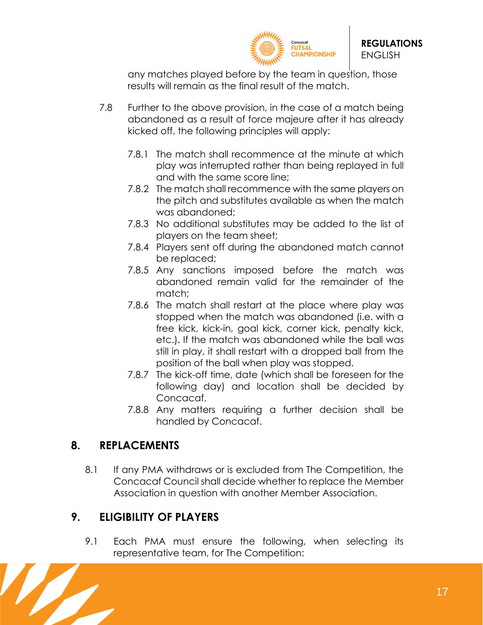

any matches played before by the team in question, those results will remain as the final result of the match.

- 7.8 Further to the above provision, in the case of a match being abandoned as a result of force majeure after it has already kicked off, the following principles will apply:
	- 7.8.1 The match shall recommence at the minute at which play was interrupted rather than being replayed in full and with the same score line;
	- 7.8.2 The match shall recommence with the same players on the pitch and substitutes available as when the match was abandoned;
	- 7.8.3 No additional substitutes may be added to the list of players on the team sheet;
	- 7.8.4 Players sent off during the abandoned match cannot be replaced;
	- 7.8.5 Any sanctions imposed before the match was abandoned remain valid for the remainder of the match;
	- 7.8.6 The match shall restart at the place where play was stopped when the match was abandoned (i.e. with a free kick, kick-in, goal kick, corner kick, penalty kick, etc.). If the match was abandoned while the ball was still in play, it shall restart with a dropped ball from the position of the ball when play was stopped.
	- 7.8.7 The kick-off time, date (which shall be foreseen for the following day) and location shall be decided by Concacaf.
	- 7.8.8 Any matters requiring a further decision shall be handled by Concacaf.

# <span id="page-16-0"></span>**8. REPLACEMENTS**

8.1 If any PMA withdraws or is excluded from The Competition, the Concacaf Council shall decide whether to replace the Member Association in question with another Member Association.

# <span id="page-16-1"></span>**9. ELIGIBILITY OF PLAYERS**

9.1 Each PMA must ensure the following, when selecting its representative team, for The Competition:

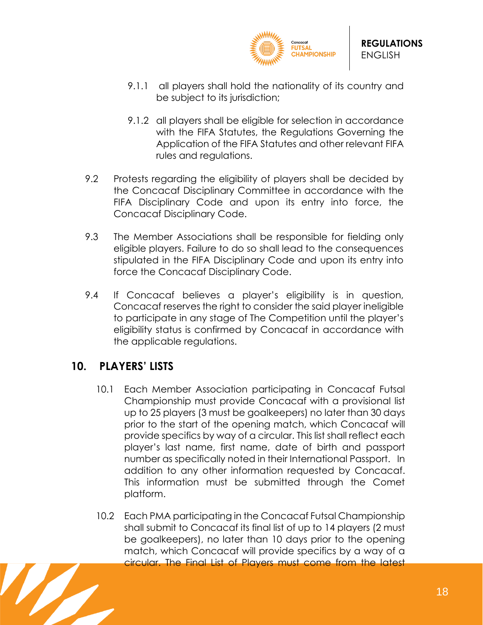

- 9.1.1 all players shall hold the nationality of its country and be subject to its jurisdiction;
- 9.1.2 all players shall be eligible for selection in accordance with the FIFA Statutes, the Regulations Governing the Application of the FIFA Statutes and other relevant FIFA rules and regulations.
- 9.2 Protests regarding the eligibility of players shall be decided by the Concacaf Disciplinary Committee in accordance with the FIFA Disciplinary Code and upon its entry into force, the Concacaf Disciplinary Code.
- 9.3 The Member Associations shall be responsible for fielding only eligible players. Failure to do so shall lead to the consequences stipulated in the FIFA Disciplinary Code and upon its entry into force the Concacaf Disciplinary Code.
- 9.4 If Concacaf believes a player's eligibility is in question, Concacaf reserves the right to consider the said player ineligible to participate in any stage of The Competition until the player's eligibility status is confirmed by Concacaf in accordance with the applicable regulations.

# <span id="page-17-0"></span>**10. PLAYERS' LISTS**

- 10.1 Each Member Association participating in Concacaf Futsal Championship must provide Concacaf with a provisional list up to 25 players (3 must be goalkeepers) no later than 30 days prior to the start of the opening match, which Concacaf will provide specifics by way of a circular. This list shall reflect each player's last name, first name, date of birth and passport number as specifically noted in their International Passport. In addition to any other information requested by Concacaf. This information must be submitted through the Comet platform.
- 10.2 Each PMA participating in the Concacaf Futsal Championship shall submit to Concacaf its final list of up to 14 players (2 must be goalkeepers), no later than 10 days prior to the opening match, which Concacaf will provide specifics by a way of a circular. The Final List of Players must come from the latest

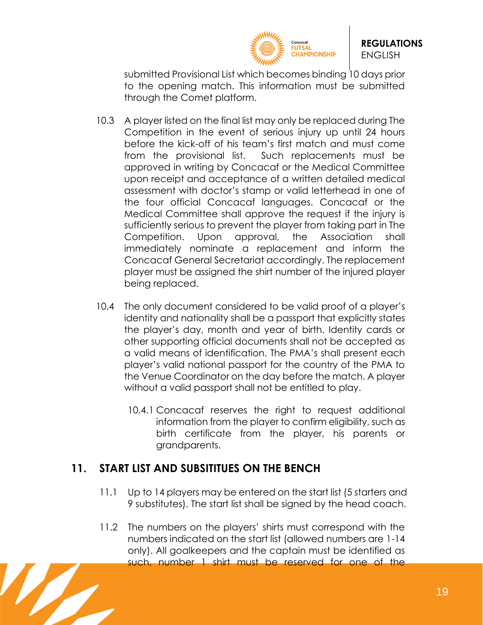

submitted Provisional List which becomes binding 10 days prior to the opening match. This information must be submitted through the Comet platform.

- 10.3 A player listed on the final list may only be replaced during The Competition in the event of serious injury up until 24 hours before the kick-off of his team's first match and must come from the provisional list. Such replacements must be approved in writing by Concacaf or the Medical Committee upon receipt and acceptance of a written detailed medical assessment with doctor's stamp or valid letterhead in one of the four official Concacaf languages. Concacaf or the Medical Committee shall approve the request if the injury is sufficiently serious to prevent the player from taking part in The Competition. Upon approval, the Association shall immediately nominate a replacement and inform the Concacaf General Secretariat accordingly. The replacement player must be assigned the shirt number of the injured player being replaced.
- 10.4 The only document considered to be valid proof of a player's identity and nationality shall be a passport that explicitly states the player's day, month and year of birth. Identity cards or other supporting official documents shall not be accepted as a valid means of identification. The PMA's shall present each player's valid national passport for the country of the PMA to the Venue Coordinator on the day before the match. A player without a valid passport shall not be entitled to play.
	- 10.4.1 Concacaf reserves the right to request additional information from the player to confirm eligibility, such as birth certificate from the player, his parents or grandparents.

## <span id="page-18-0"></span>**11. START LIST AND SUBSITITUES ON THE BENCH**

- 11.1 Up to 14 players may be entered on the start list (5 starters and 9 substitutes). The start list shall be signed by the head coach.
- 11.2 The numbers on the players' shirts must correspond with the numbers indicated on the start list (allowed numbers are 1-14 only). All goalkeepers and the captain must be identified as such, number 1 shirt must be reserved for one of the

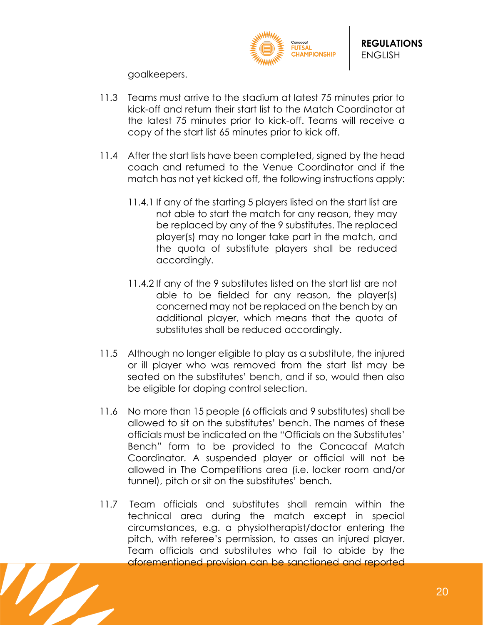

goalkeepers.

- 11.3 Teams must arrive to the stadium at latest 75 minutes prior to kick-off and return their start list to the Match Coordinator at the latest 75 minutes prior to kick-off. Teams will receive a copy of the start list 65 minutes prior to kick off.
- 11.4 After the start lists have been completed, signed by the head coach and returned to the Venue Coordinator and if the match has not yet kicked off, the following instructions apply:
	- 11.4.1 If any of the starting 5 players listed on the start list are not able to start the match for any reason, they may be replaced by any of the 9 substitutes. The replaced player(s) may no longer take part in the match, and the quota of substitute players shall be reduced accordingly.
	- 11.4.2 If any of the 9 substitutes listed on the start list are not able to be fielded for any reason, the player(s) concerned may not be replaced on the bench by an additional player, which means that the quota of substitutes shall be reduced accordingly.
- 11.5 Although no longer eligible to play as a substitute, the injured or ill player who was removed from the start list may be seated on the substitutes' bench, and if so, would then also be eligible for doping control selection.
- 11.6 No more than 15 people (6 officials and 9 substitutes) shall be allowed to sit on the substitutes' bench. The names of these officials must be indicated on the "Officials on the Substitutes' Bench" form to be provided to the Concacaf Match Coordinator. A suspended player or official will not be allowed in The Competitions area (i.e. locker room and/or tunnel), pitch or sit on the substitutes' bench.
- 11.7 Team officials and substitutes shall remain within the technical area during the match except in special circumstances, e.g. a physiotherapist/doctor entering the pitch, with referee's permission, to asses an injured player. Team officials and substitutes who fail to abide by the aforementioned provision can be sanctioned and reported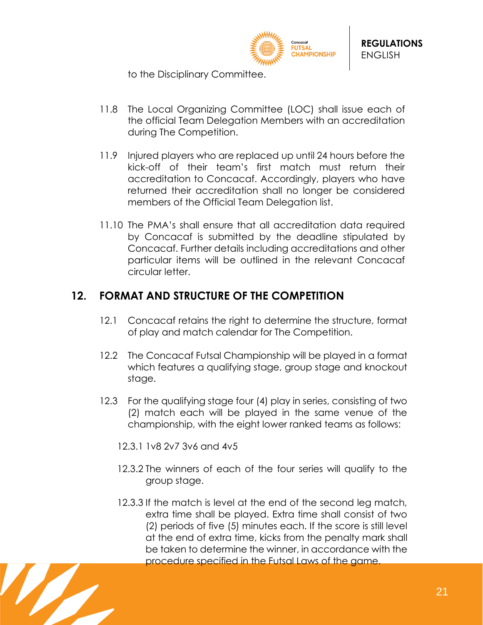

to the Disciplinary Committee.

- 11.8 The Local Organizing Committee (LOC) shall issue each of the official Team Delegation Members with an accreditation during The Competition.
- 11.9 Injured players who are replaced up until 24 hours before the kick-off of their team's first match must return their accreditation to Concacaf. Accordingly, players who have returned their accreditation shall no longer be considered members of the Official Team Delegation list.
- 11.10 The PMA's shall ensure that all accreditation data required by Concacaf is submitted by the deadline stipulated by Concacaf. Further details including accreditations and other particular items will be outlined in the relevant Concacaf circular letter.

# <span id="page-20-0"></span>**12. FORMAT AND STRUCTURE OF THE COMPETITION**

- 12.1 Concacaf retains the right to determine the structure, format of play and match calendar for The Competition.
- 12.2 The Concacaf Futsal Championship will be played in a format which features a qualifying stage, group stage and knockout stage.
- 12.3 For the qualifying stage four (4) play in series, consisting of two (2) match each will be played in the same venue of the championship, with the eight lower ranked teams as follows:
	- 12.3.1 1v8 2v7 3v6 and 4v5
	- 12.3.2 The winners of each of the four series will qualify to the group stage.
	- 12.3.3 If the match is level at the end of the second leg match, extra time shall be played. Extra time shall consist of two (2) periods of five (5) minutes each. If the score is still level at the end of extra time, kicks from the penalty mark shall be taken to determine the winner, in accordance with the procedure specified in the Futsal Laws of the game.

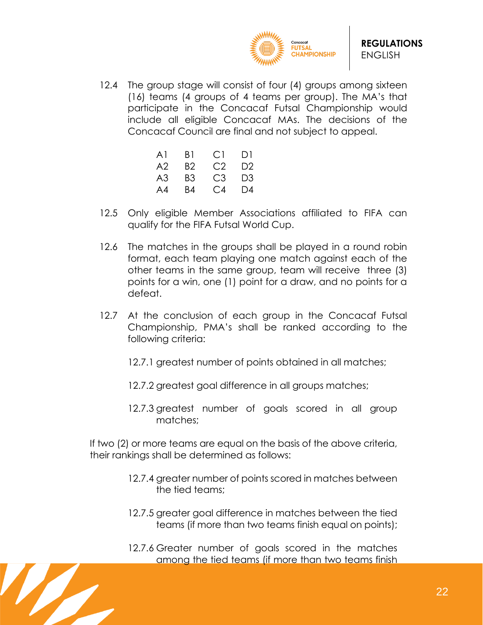

12.4 The group stage will consist of four (4) groups among sixteen (16) teams (4 groups of 4 teams per group). The MA's that participate in the Concacaf Futsal Championship would include all eligible Concacaf MAs. The decisions of the Concacaf Council are final and not subject to appeal.

| A1 | B1  | C.L            | DI             |  |
|----|-----|----------------|----------------|--|
| A2 | B2. | C2             | D <sub>2</sub> |  |
| A3 | B3  | C3.            | D <sub>3</sub> |  |
| A4 | B4  | C <sub>4</sub> | $\Box$ 4       |  |

- 12.5 Only eligible Member Associations affiliated to FIFA can qualify for the FIFA Futsal World Cup.
- 12.6 The matches in the groups shall be played in a round robin format, each team playing one match against each of the other teams in the same group, team will receive three (3) points for a win, one (1) point for a draw, and no points for a defeat.
- 12.7 At the conclusion of each group in the Concacaf Futsal Championship, PMA's shall be ranked according to the following criteria:
	- 12.7.1 greatest number of points obtained in all matches;
	- 12.7.2 greatest goal difference in all groups matches;
	- 12.7.3 greatest number of goals scored in all group matches;

If two (2) or more teams are equal on the basis of the above criteria, their rankings shall be determined as follows:

- 12.7.4 greater number of points scored in matches between the tied teams;
- 12.7.5 greater goal difference in matches between the tied teams (if more than two teams finish equal on points);
- 12.7.6 Greater number of goals scored in the matches among the tied teams (if more than two teams finish

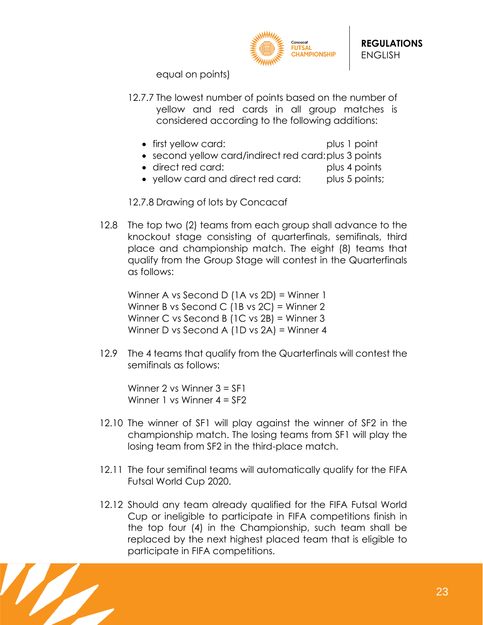

equal on points)

- 12.7.7 The lowest number of points based on the number of yellow and red cards in all group matches is considered according to the following additions:
	- first yellow card: plus 1 point
	- second yellow card/indirect red card:plus 3 points
	- direct red card: plus 4 points
	- yellow card and direct red card: plus 5 points;

12.7.8 Drawing of lots by Concacaf

12.8 The top two (2) teams from each group shall advance to the knockout stage consisting of quarterfinals, semifinals, third place and championship match. The eight (8) teams that qualify from the Group Stage will contest in the Quarterfinals as follows:

Winner A vs Second D (1A vs 2D) = Winner 1 Winner B vs Second C (1B vs 2C) = Winner 2 Winner C vs Second B (1C vs 2B) = Winner 3 Winner D vs Second A (1D vs 2A) = Winner 4

12.9 The 4 teams that qualify from the Quarterfinals will contest the semifinals as follows:

Winner 2 vs Winner 3 = SF1 Winner 1 vs Winner 4 = SF2

- 12.10 The winner of SF1 will play against the winner of SF2 in the championship match. The losing teams from SF1 will play the losing team from SF2 in the third-place match.
- 12.11 The four semifinal teams will automatically qualify for the FIFA Futsal World Cup 2020.
- 12.12 Should any team already qualified for the FIFA Futsal World Cup or ineligible to participate in FIFA competitions finish in the top four (4) in the Championship, such team shall be replaced by the next highest placed team that is eligible to participate in FIFA competitions.

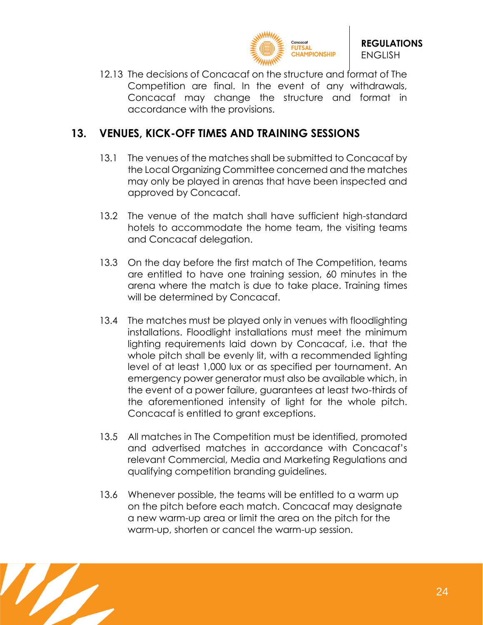

12.13 The decisions of Concacaf on the structure and format of The Competition are final. In the event of any withdrawals, Concacaf may change the structure and format in accordance with the provisions.

## <span id="page-23-0"></span>**13. VENUES, KICK-OFF TIMES AND TRAINING SESSIONS**

- 13.1 The venues of the matches shall be submitted to Concacaf by the Local Organizing Committee concerned and the matches may only be played in arenas that have been inspected and approved by Concacaf.
- 13.2 The venue of the match shall have sufficient high-standard hotels to accommodate the home team, the visiting teams and Concacaf delegation.
- 13.3 On the day before the first match of The Competition, teams are entitled to have one training session, 60 minutes in the arena where the match is due to take place. Training times will be determined by Concacaf.
- 13.4 The matches must be played only in venues with floodlighting installations. Floodlight installations must meet the minimum lighting requirements laid down by Concacaf, i.e. that the whole pitch shall be evenly lit, with a recommended lighting level of at least 1,000 lux or as specified per tournament. An emergency power generator must also be available which, in the event of a power failure, guarantees at least two-thirds of the aforementioned intensity of light for the whole pitch. Concacaf is entitled to grant exceptions.
- 13.5 All matches in The Competition must be identified, promoted and advertised matches in accordance with Concacaf's relevant Commercial, Media and Marketing Regulations and qualifying competition branding guidelines.
- 13.6 Whenever possible, the teams will be entitled to a warm up on the pitch before each match. Concacaf may designate a new warm-up area or limit the area on the pitch for the warm-up, shorten or cancel the warm-up session.

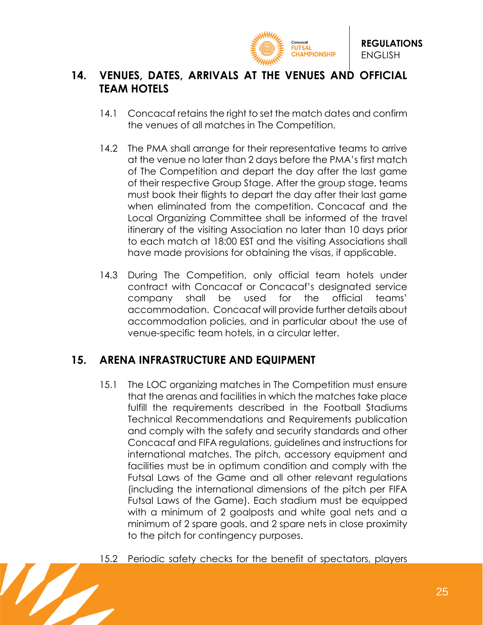

## <span id="page-24-0"></span>**14. VENUES, DATES, ARRIVALS AT THE VENUES AND OFFICIAL TEAM HOTELS**

- 14.1 Concacaf retains the right to set the match dates and confirm the venues of all matches in The Competition.
- 14.2 The PMA shall arrange for their representative teams to arrive at the venue no later than 2 days before the PMA's first match of The Competition and depart the day after the last game of their respective Group Stage. After the group stage, teams must book their flights to depart the day after their last game when eliminated from the competition. Concacaf and the Local Organizing Committee shall be informed of the travel itinerary of the visiting Association no later than 10 days prior to each match at 18:00 EST and the visiting Associations shall have made provisions for obtaining the visas, if applicable.
- 14.3 During The Competition, only official team hotels under contract with Concacaf or Concacaf's designated service company shall be used for the official teams' accommodation. Concacaf will provide further details about accommodation policies, and in particular about the use of venue-specific team hotels, in a circular letter.

## <span id="page-24-1"></span>**15. ARENA INFRASTRUCTURE AND EQUIPMENT**

- 15.1 The LOC organizing matches in The Competition must ensure that the arenas and facilities in which the matches take place fulfill the requirements described in the Football Stadiums Technical Recommendations and Requirements publication and comply with the safety and security standards and other Concacaf and FIFA regulations, guidelines and instructions for international matches. The pitch, accessory equipment and facilities must be in optimum condition and comply with the Futsal Laws of the Game and all other relevant regulations (including the international dimensions of the pitch per FIFA Futsal Laws of the Game). Each stadium must be equipped with a minimum of 2 goalposts and white goal nets and a minimum of 2 spare goals, and 2 spare nets in close proximity to the pitch for contingency purposes.
- 15.2 Periodic safety checks for the benefit of spectators, players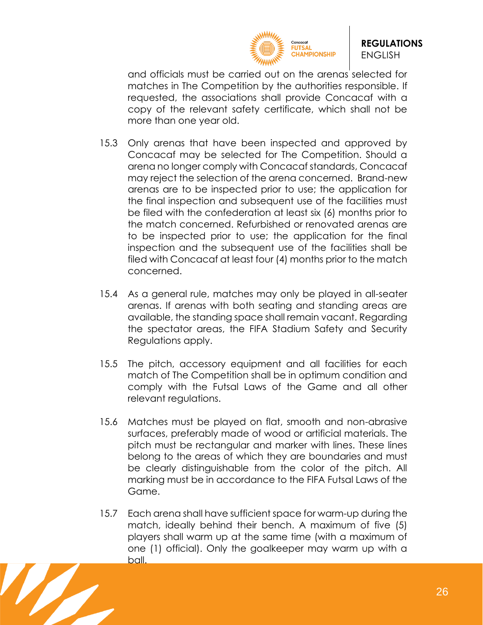

and officials must be carried out on the arenas selected for matches in The Competition by the authorities responsible. If requested, the associations shall provide Concacaf with a copy of the relevant safety certificate, which shall not be more than one year old.

- 15.3 Only arenas that have been inspected and approved by Concacaf may be selected for The Competition. Should a arena no longer comply with Concacaf standards, Concacaf may reject the selection of the arena concerned. Brand-new arenas are to be inspected prior to use; the application for the final inspection and subsequent use of the facilities must be filed with the confederation at least six (6) months prior to the match concerned. Refurbished or renovated arenas are to be inspected prior to use; the application for the final inspection and the subsequent use of the facilities shall be filed with Concacaf at least four (4) months prior to the match concerned.
- 15.4 As a general rule, matches may only be played in all-seater arenas. If arenas with both seating and standing areas are available, the standing space shall remain vacant. Regarding the spectator areas, the FIFA Stadium Safety and Security Regulations apply.
- 15.5 The pitch, accessory equipment and all facilities for each match of The Competition shall be in optimum condition and comply with the Futsal Laws of the Game and all other relevant regulations.
- 15.6 Matches must be played on flat, smooth and non-abrasive surfaces, preferably made of wood or artificial materials. The pitch must be rectangular and marker with lines. These lines belong to the areas of which they are boundaries and must be clearly distinguishable from the color of the pitch. All marking must be in accordance to the FIFA Futsal Laws of the Game.
- 15.7 Each arena shall have sufficient space for warm-up during the match, ideally behind their bench. A maximum of five (5) players shall warm up at the same time (with a maximum of one (1) official). Only the goalkeeper may warm up with a ball.

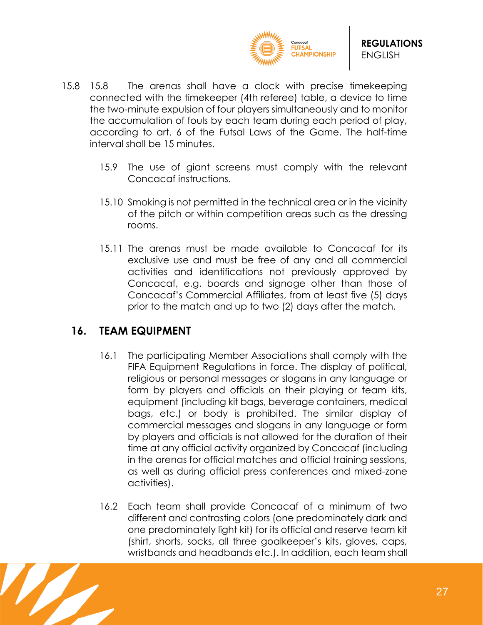

- 15.8 15.8 The arenas shall have a clock with precise timekeeping connected with the timekeeper (4th referee) table, a device to time the two-minute expulsion of four players simultaneously and to monitor the accumulation of fouls by each team during each period of play, according to art. 6 of the Futsal Laws of the Game. The half-time interval shall be 15 minutes.
	- 15.9 The use of giant screens must comply with the relevant Concacaf instructions.
	- 15.10 Smoking is not permitted in the technical area or in the vicinity of the pitch or within competition areas such as the dressing rooms.
	- 15.11 The arenas must be made available to Concacaf for its exclusive use and must be free of any and all commercial activities and identifications not previously approved by Concacaf, e.g. boards and signage other than those of Concacaf's Commercial Affiliates, from at least five (5) days prior to the match and up to two (2) days after the match.

## <span id="page-26-0"></span>**16. TEAM EQUIPMENT**

- 16.1 The participating Member Associations shall comply with the FIFA Equipment Regulations in force. The display of political, religious or personal messages or slogans in any language or form by players and officials on their playing or team kits, equipment (including kit bags, beverage containers, medical bags, etc.) or body is prohibited. The similar display of commercial messages and slogans in any language or form by players and officials is not allowed for the duration of their time at any official activity organized by Concacaf (including in the arenas for official matches and official training sessions, as well as during official press conferences and mixed-zone activities).
- 16.2 Each team shall provide Concacaf of a minimum of two different and contrasting colors (one predominately dark and one predominately light kit) for its official and reserve team kit (shirt, shorts, socks, all three goalkeeper's kits, gloves, caps, wristbands and headbands etc.). In addition, each team shall

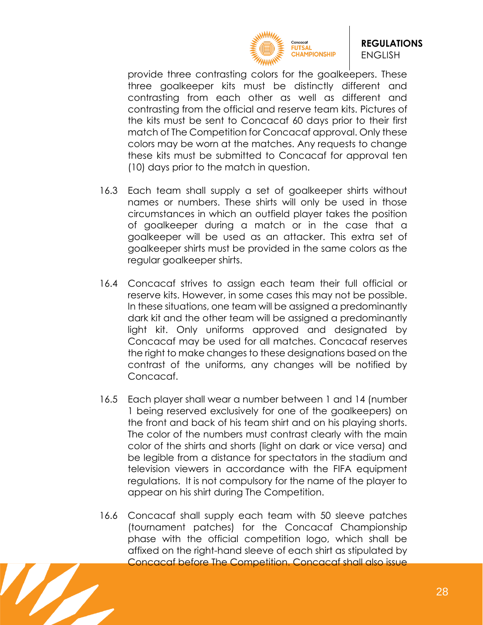

provide three contrasting colors for the goalkeepers. These three goalkeeper kits must be distinctly different and contrasting from each other as well as different and contrasting from the official and reserve team kits. Pictures of the kits must be sent to Concacaf 60 days prior to their first match of The Competition for Concacaf approval. Only these colors may be worn at the matches. Any requests to change these kits must be submitted to Concacaf for approval ten (10) days prior to the match in question.

- 16.3 Each team shall supply a set of goalkeeper shirts without names or numbers. These shirts will only be used in those circumstances in which an outfield player takes the position of goalkeeper during a match or in the case that a goalkeeper will be used as an attacker. This extra set of goalkeeper shirts must be provided in the same colors as the regular goalkeeper shirts.
- 16.4 Concacaf strives to assign each team their full official or reserve kits. However, in some cases this may not be possible. In these situations, one team will be assigned a predominantly dark kit and the other team will be assigned a predominantly light kit. Only uniforms approved and designated by Concacaf may be used for all matches. Concacaf reserves the right to make changes to these designations based on the contrast of the uniforms, any changes will be notified by Concacaf.
- 16.5 Each player shall wear a number between 1 and 14 (number 1 being reserved exclusively for one of the goalkeepers) on the front and back of his team shirt and on his playing shorts. The color of the numbers must contrast clearly with the main color of the shirts and shorts (light on dark or vice versa) and be legible from a distance for spectators in the stadium and television viewers in accordance with the FIFA equipment regulations. It is not compulsory for the name of the player to appear on his shirt during The Competition.
- 16.6 Concacaf shall supply each team with 50 sleeve patches (tournament patches) for the Concacaf Championship phase with the official competition logo, which shall be affixed on the right-hand sleeve of each shirt as stipulated by Concacaf before The Competition. Concacaf shall also issue

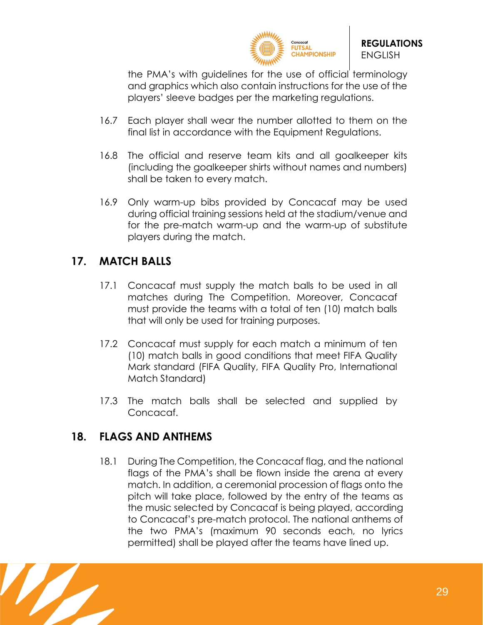

the PMA's with guidelines for the use of official terminology and graphics which also contain instructions for the use of the players' sleeve badges per the marketing regulations.

- 16.7 Each player shall wear the number allotted to them on the final list in accordance with the Equipment Regulations.
- 16.8 The official and reserve team kits and all goalkeeper kits (including the goalkeeper shirts without names and numbers) shall be taken to every match.
- 16.9 Only warm-up bibs provided by Concacaf may be used during official training sessions held at the stadium/venue and for the pre-match warm-up and the warm-up of substitute players during the match.

## <span id="page-28-0"></span>**17. MATCH BALLS**

- 17.1 Concacaf must supply the match balls to be used in all matches during The Competition. Moreover, Concacaf must provide the teams with a total of ten (10) match balls that will only be used for training purposes.
- 17.2 Concacaf must supply for each match a minimum of ten (10) match balls in good conditions that meet FIFA Quality Mark standard (FIFA Quality, FIFA Quality Pro, International Match Standard)
- 17.3 The match balls shall be selected and supplied by Concacaf.

## <span id="page-28-1"></span>**18. FLAGS AND ANTHEMS**

18.1 During The Competition, the Concacaf flag, and the national flags of the PMA's shall be flown inside the arena at every match. In addition, a ceremonial procession of flags onto the pitch will take place, followed by the entry of the teams as the music selected by Concacaf is being played, according to Concacaf's pre-match protocol. The national anthems of the two PMA's (maximum 90 seconds each, no lyrics permitted) shall be played after the teams have lined up.

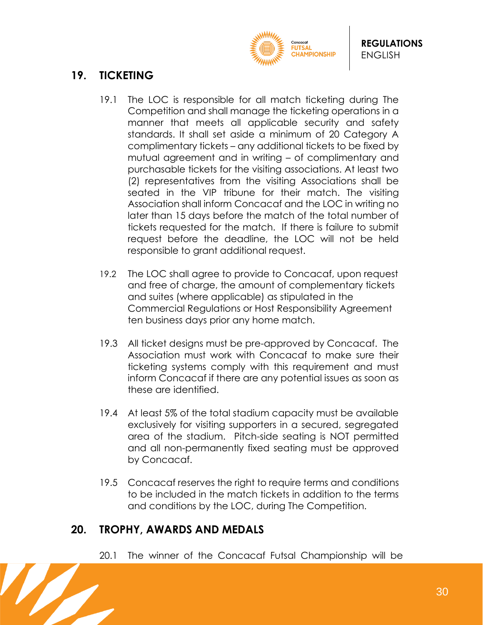

# <span id="page-29-0"></span>**19. TICKETING**

- 19.1 The LOC is responsible for all match ticketing during The Competition and shall manage the ticketing operations in a manner that meets all applicable security and safety standards. It shall set aside a minimum of 20 Category A complimentary tickets – any additional tickets to be fixed by mutual agreement and in writing – of complimentary and purchasable tickets for the visiting associations. At least two (2) representatives from the visiting Associations shall be seated in the VIP tribune for their match. The visiting Association shall inform Concacaf and the LOC in writing no later than 15 days before the match of the total number of tickets requested for the match. If there is failure to submit request before the deadline, the LOC will not be held responsible to grant additional request.
- 19.2 The LOC shall agree to provide to Concacaf, upon request and free of charge, the amount of complementary tickets and suites (where applicable) as stipulated in the Commercial Regulations or Host Responsibility Agreement ten business days prior any home match.
- 19.3 All ticket designs must be pre-approved by Concacaf. The Association must work with Concacaf to make sure their ticketing systems comply with this requirement and must inform Concacaf if there are any potential issues as soon as these are identified.
- 19.4 At least 5% of the total stadium capacity must be available exclusively for visiting supporters in a secured, segregated area of the stadium. Pitch-side seating is NOT permitted and all non-permanently fixed seating must be approved by Concacaf.
- 19.5 Concacaf reserves the right to require terms and conditions to be included in the match tickets in addition to the terms and conditions by the LOC, during The Competition.

## <span id="page-29-1"></span>**20. TROPHY, AWARDS AND MEDALS**

20.1 The winner of the Concacaf Futsal Championship will be

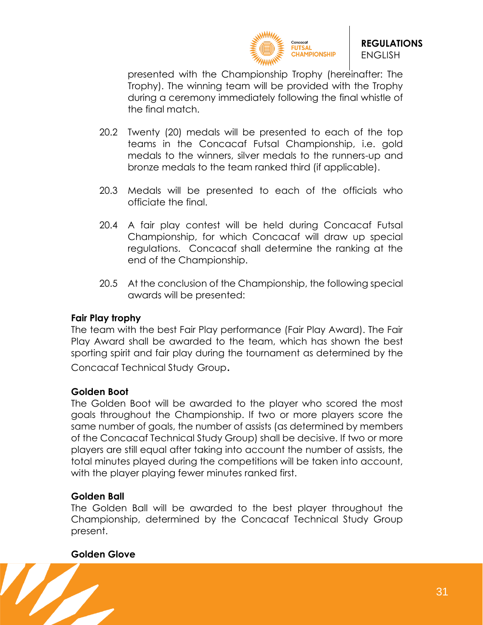

presented with the Championship Trophy (hereinafter: The Trophy). The winning team will be provided with the Trophy during a ceremony immediately following the final whistle of the final match.

- 20.2 Twenty (20) medals will be presented to each of the top teams in the Concacaf Futsal Championship, i.e. gold medals to the winners, silver medals to the runners-up and bronze medals to the team ranked third (if applicable).
- 20.3 Medals will be presented to each of the officials who officiate the final.
- 20.4 A fair play contest will be held during Concacaf Futsal Championship, for which Concacaf will draw up special regulations. Concacaf shall determine the ranking at the end of the Championship.
- 20.5 At the conclusion of the Championship, the following special awards will be presented:

#### **Fair Play trophy**

The team with the best Fair Play performance (Fair Play Award). The Fair Play Award shall be awarded to the team, which has shown the best sporting spirit and fair play during the tournament as determined by the Concacaf Technical Study Group.

#### **Golden Boot**

The Golden Boot will be awarded to the player who scored the most goals throughout the Championship. If two or more players score the same number of goals, the number of assists (as determined by members of the Concacaf Technical Study Group) shall be decisive. If two or more players are still equal after taking into account the number of assists, the total minutes played during the competitions will be taken into account, with the player playing fewer minutes ranked first.

#### **Golden Ball**

The Golden Ball will be awarded to the best player throughout the Championship, determined by the Concacaf Technical Study Group present.

#### **Golden Glove**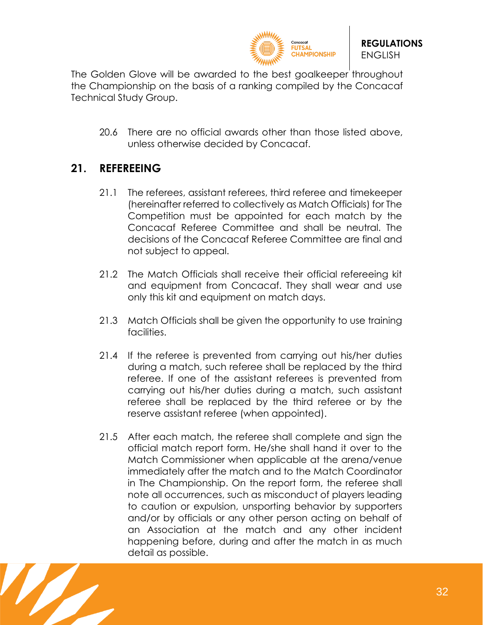

The Golden Glove will be awarded to the best goalkeeper throughout the Championship on the basis of a ranking compiled by the Concacaf Technical Study Group.

20.6 There are no official awards other than those listed above, unless otherwise decided by Concacaf.

## <span id="page-31-0"></span>**21. REFEREEING**

- 21.1 The referees, assistant referees, third referee and timekeeper (hereinafter referred to collectively as Match Officials) for The Competition must be appointed for each match by the Concacaf Referee Committee and shall be neutral. The decisions of the Concacaf Referee Committee are final and not subject to appeal.
- 21.2 The Match Officials shall receive their official refereeing kit and equipment from Concacaf. They shall wear and use only this kit and equipment on match days.
- 21.3 Match Officials shall be given the opportunity to use training facilities.
- 21.4 If the referee is prevented from carrying out his/her duties during a match, such referee shall be replaced by the third referee. If one of the assistant referees is prevented from carrying out his/her duties during a match, such assistant referee shall be replaced by the third referee or by the reserve assistant referee (when appointed).
- 21.5 After each match, the referee shall complete and sign the official match report form. He/she shall hand it over to the Match Commissioner when applicable at the arena/venue immediately after the match and to the Match Coordinator in The Championship. On the report form, the referee shall note all occurrences, such as misconduct of players leading to caution or expulsion, unsporting behavior by supporters and/or by officials or any other person acting on behalf of an Association at the match and any other incident happening before, during and after the match in as much detail as possible.

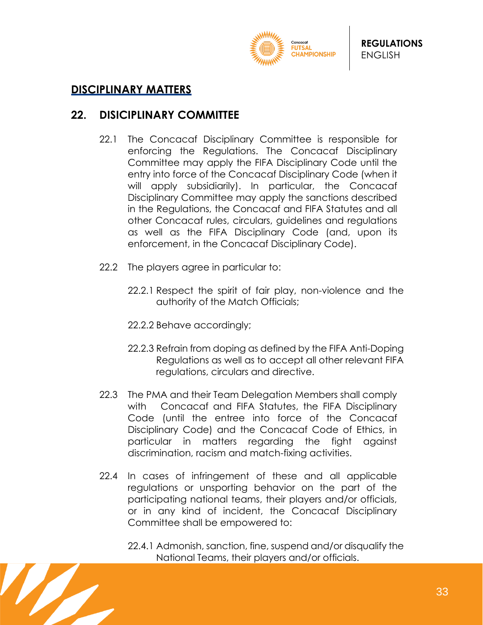

#### <span id="page-32-0"></span>**DISCIPLINARY MATTERS**

#### <span id="page-32-1"></span>**22. DISICIPLINARY COMMITTEE**

- 22.1 The Concacaf Disciplinary Committee is responsible for enforcing the Regulations. The Concacaf Disciplinary Committee may apply the FIFA Disciplinary Code until the entry into force of the Concacaf Disciplinary Code (when it will apply subsidiarily). In particular, the Concacaf Disciplinary Committee may apply the sanctions described in the Regulations, the Concacaf and FIFA Statutes and all other Concacaf rules, circulars, guidelines and regulations as well as the FIFA Disciplinary Code (and, upon its enforcement, in the Concacaf Disciplinary Code).
- 22.2 The players agree in particular to:
	- 22.2.1 Respect the spirit of fair play, non-violence and the authority of the Match Officials;
	- 22.2.2 Behave accordingly;
	- 22.2.3 Refrain from doping as defined by the FIFA Anti-Doping Regulations as well as to accept all other relevant FIFA regulations, circulars and directive.
- 22.3 The PMA and their Team Delegation Members shall comply with Concacaf and FIFA Statutes, the FIFA Disciplinary Code (until the entree into force of the Concacaf Disciplinary Code) and the Concacaf Code of Ethics, in particular in matters regarding the fight against discrimination, racism and match-fixing activities.
- 22.4 In cases of infringement of these and all applicable regulations or unsporting behavior on the part of the participating national teams, their players and/or officials, or in any kind of incident, the Concacaf Disciplinary Committee shall be empowered to:
	- 22.4.1 Admonish, sanction, fine, suspend and/or disqualify the National Teams, their players and/or officials.

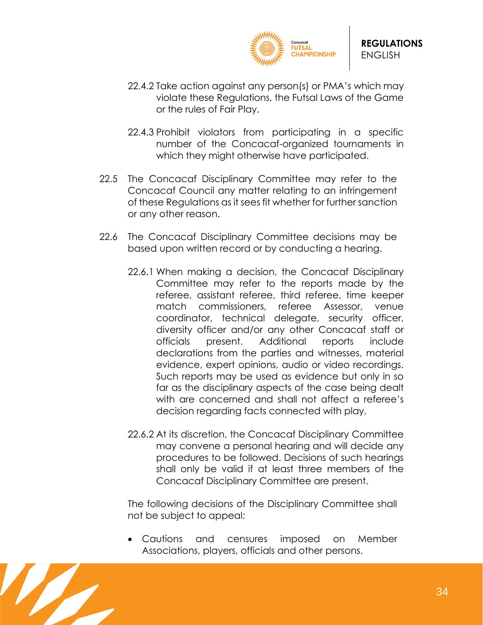

- 22.4.2 Take action against any person(s) or PMA's which may violate these Regulations, the Futsal Laws of the Game or the rules of Fair Play.
- 22.4.3 Prohibit violators from participating in a specific number of the Concacaf-organized tournaments in which they might otherwise have participated.
- 22.5 The Concacaf Disciplinary Committee may refer to the Concacaf Council any matter relating to an infringement of these Regulations as it sees fit whether for further sanction or any other reason.
- 22.6 The Concacaf Disciplinary Committee decisions may be based upon written record or by conducting a hearing.
	- 22.6.1 When making a decision, the Concacaf Disciplinary Committee may refer to the reports made by the referee, assistant referee, third referee, time keeper match commissioners, referee Assessor, venue coordinator, technical delegate, security officer, diversity officer and/or any other Concacaf staff or officials present. Additional reports include declarations from the parties and witnesses, material evidence, expert opinions, audio or video recordings. Such reports may be used as evidence but only in so far as the disciplinary aspects of the case being dealt with are concerned and shall not affect a referee's decision regarding facts connected with play.
	- 22.6.2 At its discretion, the Concacaf Disciplinary Committee may convene a personal hearing and will decide any procedures to be followed. Decisions of such hearings shall only be valid if at least three members of the Concacaf Disciplinary Committee are present.

The following decisions of the Disciplinary Committee shall not be subject to appeal:

• Cautions and censures imposed on Member Associations, players, officials and other persons.

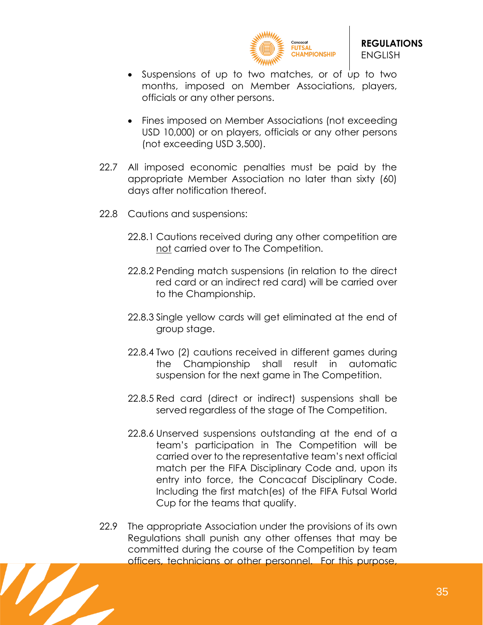

- Suspensions of up to two matches, or of up to two months, imposed on Member Associations, players, officials or any other persons.
- Fines imposed on Member Associations (not exceeding USD 10,000) or on players, officials or any other persons (not exceeding USD 3,500).
- 22.7 All imposed economic penalties must be paid by the appropriate Member Association no later than sixty (60) days after notification thereof.
- 22.8 Cautions and suspensions:
	- 22.8.1 Cautions received during any other competition are not carried over to The Competition.
	- 22.8.2 Pending match suspensions (in relation to the direct red card or an indirect red card) will be carried over to the Championship.
	- 22.8.3 Single yellow cards will get eliminated at the end of group stage.
	- 22.8.4 Two (2) cautions received in different games during the Championship shall result in automatic suspension for the next game in The Competition.
	- 22.8.5 Red card (direct or indirect) suspensions shall be served regardless of the stage of The Competition.
	- 22.8.6 Unserved suspensions outstanding at the end of a team's participation in The Competition will be carried over to the representative team's next official match per the FIFA Disciplinary Code and, upon its entry into force, the Concacaf Disciplinary Code. Including the first match(es) of the FIFA Futsal World Cup for the teams that qualify.
- 22.9 The appropriate Association under the provisions of its own Regulations shall punish any other offenses that may be committed during the course of the Competition by team officers, technicians or other personnel. For this purpose,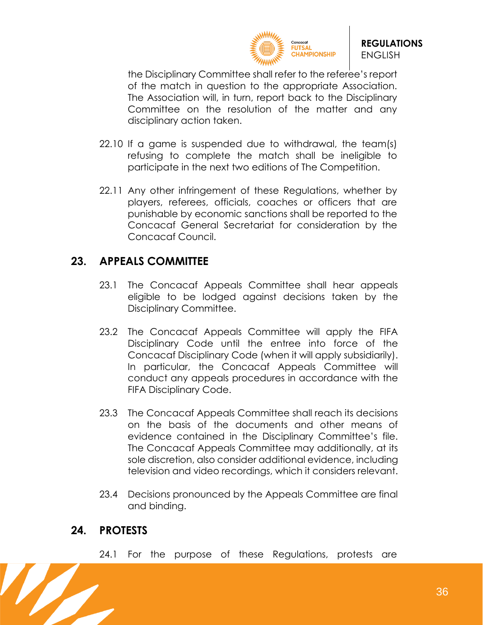

the Disciplinary Committee shall refer to the referee's report of the match in question to the appropriate Association. The Association will, in turn, report back to the Disciplinary Committee on the resolution of the matter and any disciplinary action taken.

- 22.10 If a game is suspended due to withdrawal, the team(s) refusing to complete the match shall be ineligible to participate in the next two editions of The Competition.
- 22.11 Any other infringement of these Regulations, whether by players, referees, officials, coaches or officers that are punishable by economic sanctions shall be reported to the Concacaf General Secretariat for consideration by the Concacaf Council.

#### <span id="page-35-0"></span>**23. APPEALS COMMITTEE**

- 23.1 The Concacaf Appeals Committee shall hear appeals eligible to be lodged against decisions taken by the Disciplinary Committee.
- 23.2 The Concacaf Appeals Committee will apply the FIFA Disciplinary Code until the entree into force of the Concacaf Disciplinary Code (when it will apply subsidiarily). In particular, the Concacaf Appeals Committee will conduct any appeals procedures in accordance with the FIFA Disciplinary Code.
- 23.3 The Concacaf Appeals Committee shall reach its decisions on the basis of the documents and other means of evidence contained in the Disciplinary Committee's file. The Concacaf Appeals Committee may additionally, at its sole discretion, also consider additional evidence, including television and video recordings, which it considers relevant.
- 23.4 Decisions pronounced by the Appeals Committee are final and binding.

## <span id="page-35-1"></span>**24. PROTESTS**

24.1 For the purpose of these Regulations, protests are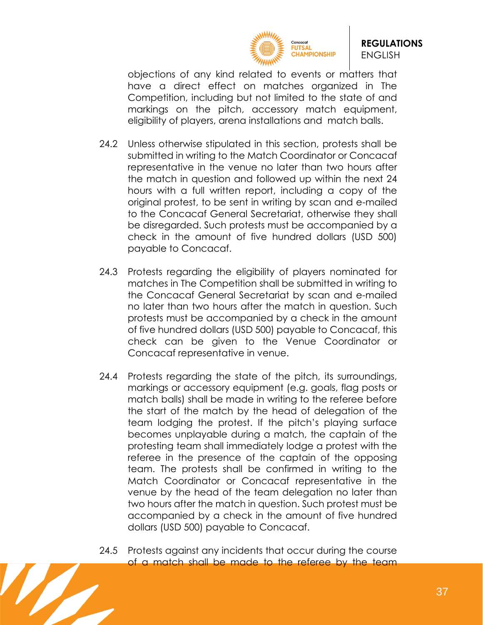

objections of any kind related to events or matters that have a direct effect on matches organized in The Competition, including but not limited to the state of and markings on the pitch, accessory match equipment, eligibility of players, arena installations and match balls.

- 24.2 Unless otherwise stipulated in this section, protests shall be submitted in writing to the Match Coordinator or Concacaf representative in the venue no later than two hours after the match in question and followed up within the next 24 hours with a full written report, including a copy of the original protest, to be sent in writing by scan and e-mailed to the Concacaf General Secretariat, otherwise they shall be disregarded. Such protests must be accompanied by a check in the amount of five hundred dollars (USD 500) payable to Concacaf.
- 24.3 Protests regarding the eligibility of players nominated for matches in The Competition shall be submitted in writing to the Concacaf General Secretariat by scan and e-mailed no later than two hours after the match in question. Such protests must be accompanied by a check in the amount of five hundred dollars (USD 500) payable to Concacaf, this check can be given to the Venue Coordinator or Concacaf representative in venue.
- 24.4 Protests regarding the state of the pitch, its surroundings, markings or accessory equipment (e.g. goals, flag posts or match balls) shall be made in writing to the referee before the start of the match by the head of delegation of the team lodging the protest. If the pitch's playing surface becomes unplayable during a match, the captain of the protesting team shall immediately lodge a protest with the referee in the presence of the captain of the opposing team. The protests shall be confirmed in writing to the Match Coordinator or Concacaf representative in the venue by the head of the team delegation no later than two hours after the match in question. Such protest must be accompanied by a check in the amount of five hundred dollars (USD 500) payable to Concacaf.
- 24.5 Protests against any incidents that occur during the course of a match shall be made to the referee by the team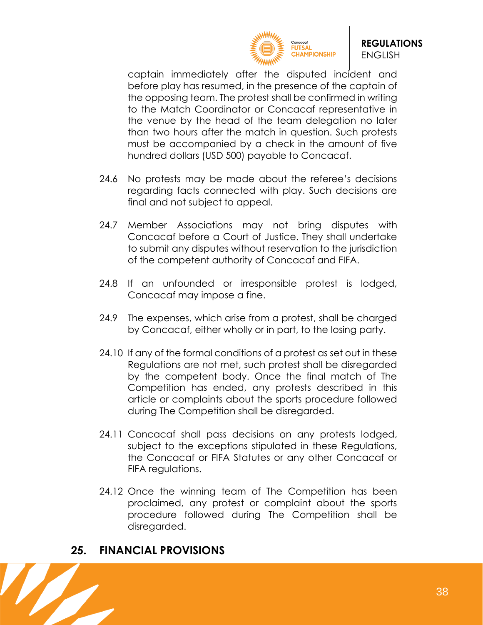

captain immediately after the disputed incident and before play has resumed, in the presence of the captain of the opposing team. The protest shall be confirmed in writing to the Match Coordinator or Concacaf representative in the venue by the head of the team delegation no later than two hours after the match in question. Such protests must be accompanied by a check in the amount of five hundred dollars (USD 500) payable to Concacaf.

- 24.6 No protests may be made about the referee's decisions regarding facts connected with play. Such decisions are final and not subject to appeal.
- 24.7 Member Associations may not bring disputes with Concacaf before a Court of Justice. They shall undertake to submit any disputes without reservation to the jurisdiction of the competent authority of Concacaf and FIFA.
- 24.8 If an unfounded or irresponsible protest is lodged, Concacaf may impose a fine.
- 24.9 The expenses, which arise from a protest, shall be charged by Concacaf, either wholly or in part, to the losing party.
- 24.10 If any of the formal conditions of a protest as set out in these Regulations are not met, such protest shall be disregarded by the competent body. Once the final match of The Competition has ended, any protests described in this article or complaints about the sports procedure followed during The Competition shall be disregarded.
- 24.11 Concacaf shall pass decisions on any protests lodged, subject to the exceptions stipulated in these Regulations, the Concacaf or FIFA Statutes or any other Concacaf or FIFA regulations.
- 24.12 Once the winning team of The Competition has been proclaimed, any protest or complaint about the sports procedure followed during The Competition shall be disregarded.

## <span id="page-37-0"></span>**25. FINANCIAL PROVISIONS**

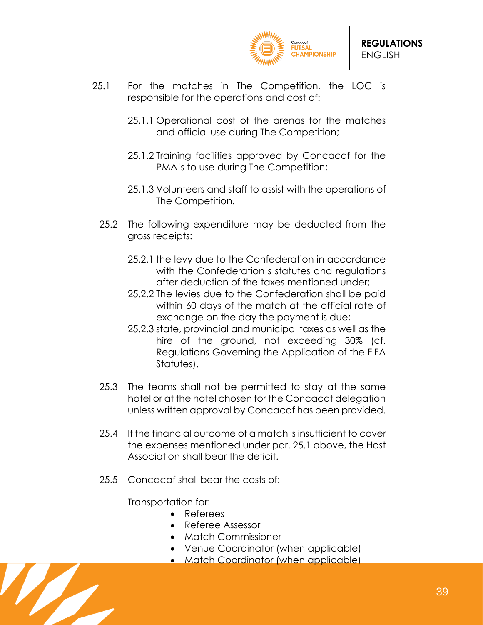

- 25.1 For the matches in The Competition, the LOC is responsible for the operations and cost of:
	- 25.1.1 Operational cost of the arenas for the matches and official use during The Competition;
	- 25.1.2 Training facilities approved by Concacaf for the PMA's to use during The Competition;
	- 25.1.3 Volunteers and staff to assist with the operations of The Competition.
	- 25.2 The following expenditure may be deducted from the gross receipts:
		- 25.2.1 the levy due to the Confederation in accordance with the Confederation's statutes and regulations after deduction of the taxes mentioned under;
		- 25.2.2 The levies due to the Confederation shall be paid within 60 days of the match at the official rate of exchange on the day the payment is due;
		- 25.2.3 state, provincial and municipal taxes as well as the hire of the ground, not exceeding 30% (cf. Regulations Governing the Application of the FIFA Statutes).
	- 25.3 The teams shall not be permitted to stay at the same hotel or at the hotel chosen for the Concacaf delegation unless written approval by Concacaf has been provided.
	- 25.4 If the financial outcome of a match is insufficient to cover the expenses mentioned under par. 25.1 above, the Host Association shall bear the deficit.
	- 25.5 Concacaf shall bear the costs of:

Transportation for:

- Referees
- Referee Assessor
- Match Commissioner
- Venue Coordinator (when applicable)
- Match Coordinator (when applicable)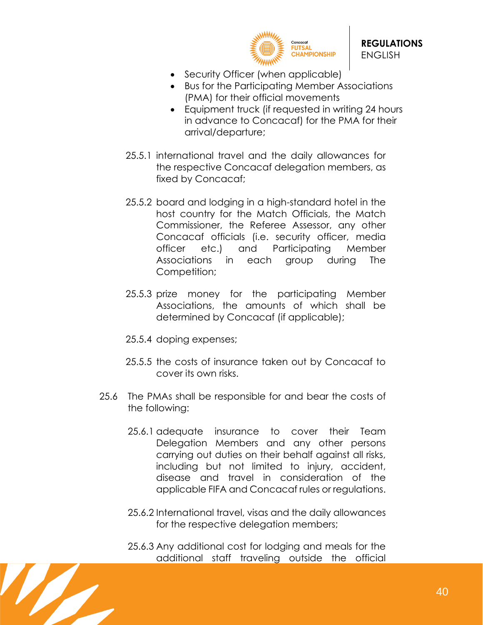

- Security Officer (when applicable)
- Bus for the Participating Member Associations (PMA) for their official movements
- Equipment truck (if requested in writing 24 hours in advance to Concacaf) for the PMA for their arrival/departure;
- 25.5.1 international travel and the daily allowances for the respective Concacaf delegation members, as fixed by Concacaf;
- 25.5.2 board and lodging in a high-standard hotel in the host country for the Match Officials, the Match Commissioner, the Referee Assessor, any other Concacaf officials (i.e. security officer, media officer etc.) and Participating Member Associations in each group during The Competition;
- 25.5.3 prize money for the participating Member Associations, the amounts of which shall be determined by Concacaf (if applicable);
- 25.5.4 doping expenses;
- 25.5.5 the costs of insurance taken out by Concacaf to cover its own risks.
- 25.6 The PMAs shall be responsible for and bear the costs of the following:
	- 25.6.1 adequate insurance to cover their Team Delegation Members and any other persons carrying out duties on their behalf against all risks, including but not limited to injury, accident, disease and travel in consideration of the applicable FIFA and Concacaf rules or regulations.
	- 25.6.2 International travel, visas and the daily allowances for the respective delegation members;
	- 25.6.3 Any additional cost for lodging and meals for the additional staff traveling outside the official

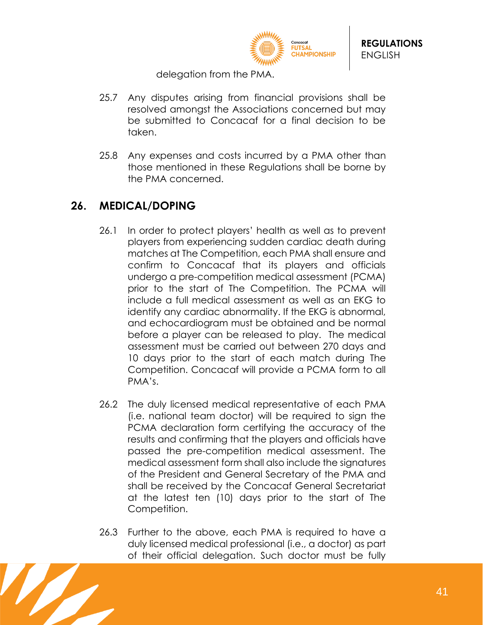

delegation from the PMA.

- 25.7 Any disputes arising from financial provisions shall be resolved amongst the Associations concerned but may be submitted to Concacaf for a final decision to be taken.
- 25.8 Any expenses and costs incurred by a PMA other than those mentioned in these Regulations shall be borne by the PMA concerned.

## <span id="page-40-0"></span>**26. MEDICAL/DOPING**

- 26.1 In order to protect players' health as well as to prevent players from experiencing sudden cardiac death during matches at The Competition, each PMA shall ensure and confirm to Concacaf that its players and officials undergo a pre-competition medical assessment (PCMA) prior to the start of The Competition. The PCMA will include a full medical assessment as well as an EKG to identify any cardiac abnormality. If the EKG is abnormal, and echocardiogram must be obtained and be normal before a player can be released to play. The medical assessment must be carried out between 270 days and 10 days prior to the start of each match during The Competition. Concacaf will provide a PCMA form to all PMA's.
- 26.2 The duly licensed medical representative of each PMA (i.e. national team doctor) will be required to sign the PCMA declaration form certifying the accuracy of the results and confirming that the players and officials have passed the pre-competition medical assessment. The medical assessment form shall also include the signatures of the President and General Secretary of the PMA and shall be received by the Concacaf General Secretariat at the latest ten (10) days prior to the start of The Competition.
- 26.3 Further to the above, each PMA is required to have a duly licensed medical professional (i.e., a doctor) as part of their official delegation. Such doctor must be fully

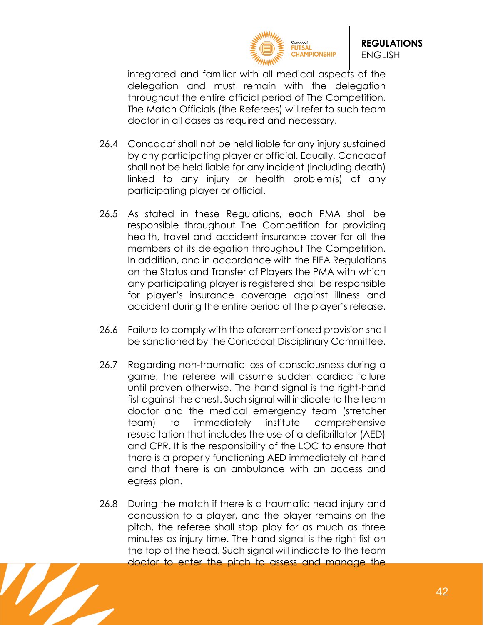

integrated and familiar with all medical aspects of the delegation and must remain with the delegation throughout the entire official period of The Competition. The Match Officials (the Referees) will refer to such team doctor in all cases as required and necessary.

- 26.4 Concacaf shall not be held liable for any injury sustained by any participating player or official. Equally, Concacaf shall not be held liable for any incident (including death) linked to any injury or health problem(s) of any participating player or official.
- 26.5 As stated in these Regulations, each PMA shall be responsible throughout The Competition for providing health, travel and accident insurance cover for all the members of its delegation throughout The Competition. In addition, and in accordance with the FIFA Regulations on the Status and Transfer of Players the PMA with which any participating player is registered shall be responsible for player's insurance coverage against illness and accident during the entire period of the player's release.
- 26.6 Failure to comply with the aforementioned provision shall be sanctioned by the Concacaf Disciplinary Committee.
- 26.7 Regarding non-traumatic loss of consciousness during a game, the referee will assume sudden cardiac failure until proven otherwise. The hand signal is the right-hand fist against the chest. Such signal will indicate to the team doctor and the medical emergency team (stretcher team) to immediately institute comprehensive resuscitation that includes the use of a defibrillator (AED) and CPR. It is the responsibility of the LOC to ensure that there is a properly functioning AED immediately at hand and that there is an ambulance with an access and egress plan.
- 26.8 During the match if there is a traumatic head injury and concussion to a player, and the player remains on the pitch, the referee shall stop play for as much as three minutes as injury time. The hand signal is the right fist on the top of the head. Such signal will indicate to the team doctor to enter the pitch to assess and manage the

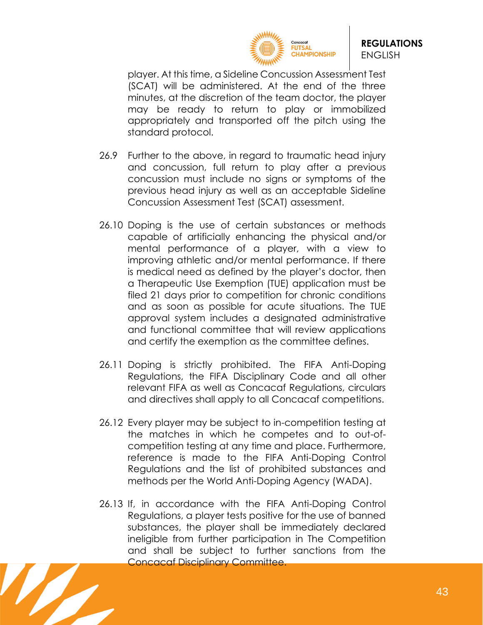

player. At this time, a Sideline Concussion Assessment Test (SCAT) will be administered. At the end of the three minutes, at the discretion of the team doctor, the player may be ready to return to play or immobilized appropriately and transported off the pitch using the standard protocol.

- 26.9 Further to the above, in regard to traumatic head injury and concussion, full return to play after a previous concussion must include no signs or symptoms of the previous head injury as well as an acceptable Sideline Concussion Assessment Test (SCAT) assessment.
- 26.10 Doping is the use of certain substances or methods capable of artificially enhancing the physical and/or mental performance of a player, with a view to improving athletic and/or mental performance. If there is medical need as defined by the player's doctor, then a Therapeutic Use Exemption (TUE) application must be filed 21 days prior to competition for chronic conditions and as soon as possible for acute situations. The TUE approval system includes a designated administrative and functional committee that will review applications and certify the exemption as the committee defines.
- 26.11 Doping is strictly prohibited. The FIFA Anti-Doping Regulations, the FIFA Disciplinary Code and all other relevant FIFA as well as Concacaf Regulations, circulars and directives shall apply to all Concacaf competitions.
- 26.12 Every player may be subject to in-competition testing at the matches in which he competes and to out-ofcompetition testing at any time and place. Furthermore, reference is made to the FIFA Anti-Doping Control Regulations and the list of prohibited substances and methods per the World Anti-Doping Agency (WADA).
- 26.13 If, in accordance with the FIFA Anti-Doping Control Regulations, a player tests positive for the use of banned substances, the player shall be immediately declared ineligible from further participation in The Competition and shall be subject to further sanctions from the Concacaf Disciplinary Committee.

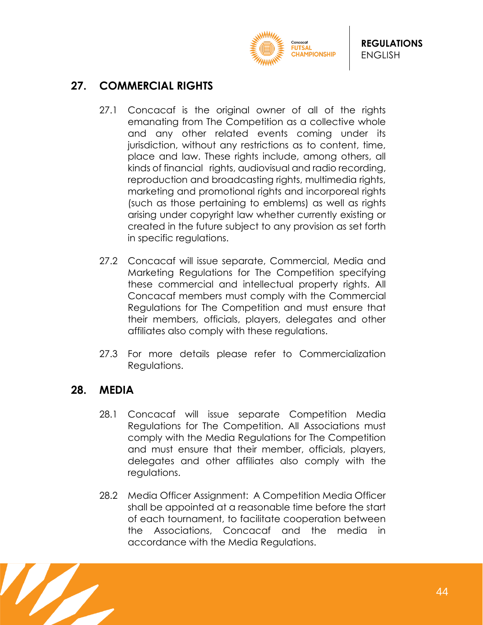

# <span id="page-43-0"></span>**27. COMMERCIAL RIGHTS**

- 27.1 Concacaf is the original owner of all of the rights emanating from The Competition as a collective whole and any other related events coming under its jurisdiction, without any restrictions as to content, time, place and law. These rights include, among others, all kinds of financial rights, audiovisual and radio recording, reproduction and broadcasting rights, multimedia rights, marketing and promotional rights and incorporeal rights (such as those pertaining to emblems) as well as rights arising under copyright law whether currently existing or created in the future subject to any provision as set forth in specific regulations.
- 27.2 Concacaf will issue separate, Commercial, Media and Marketing Regulations for The Competition specifying these commercial and intellectual property rights. All Concacaf members must comply with the Commercial Regulations for The Competition and must ensure that their members, officials, players, delegates and other affiliates also comply with these regulations.
- 27.3 For more details please refer to Commercialization Regulations.

## <span id="page-43-1"></span>**28. MEDIA**

- 28.1 Concacaf will issue separate Competition Media Regulations for The Competition. All Associations must comply with the Media Regulations for The Competition and must ensure that their member, officials, players, delegates and other affiliates also comply with the regulations.
- 28.2 Media Officer Assignment: A Competition Media Officer shall be appointed at a reasonable time before the start of each tournament, to facilitate cooperation between the Associations, Concacaf and the media in accordance with the Media Regulations.

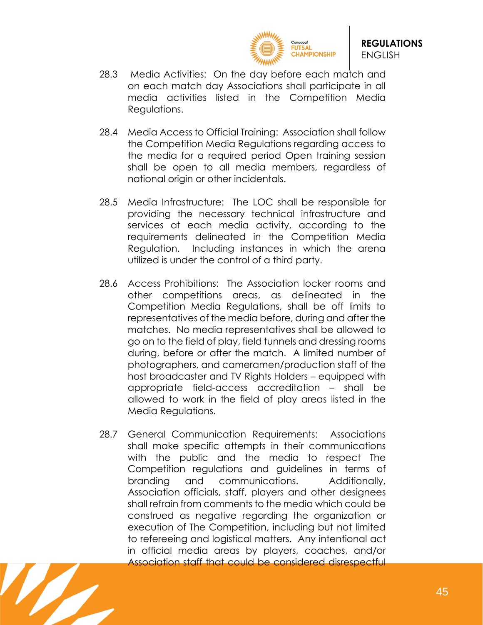

- 28.3 Media Activities: On the day before each match and on each match day Associations shall participate in all media activities listed in the Competition Media Regulations.
- 28.4 Media Access to Official Training: Association shall follow the Competition Media Regulations regarding access to the media for a required period Open training session shall be open to all media members, regardless of national origin or other incidentals.
- 28.5 Media Infrastructure: The LOC shall be responsible for providing the necessary technical infrastructure and services at each media activity, according to the requirements delineated in the Competition Media Regulation. Including instances in which the arena utilized is under the control of a third party.
- 28.6 Access Prohibitions: The Association locker rooms and other competitions areas, as delineated in the Competition Media Regulations, shall be off limits to representatives of the media before, during and after the matches. No media representatives shall be allowed to go on to the field of play, field tunnels and dressing rooms during, before or after the match. A limited number of photographers, and cameramen/production staff of the host broadcaster and TV Rights Holders – equipped with appropriate field-access accreditation – shall be allowed to work in the field of play areas listed in the Media Regulations.
- 28.7 General Communication Requirements: Associations shall make specific attempts in their communications with the public and the media to respect The Competition regulations and guidelines in terms of branding and communications. Additionally, Association officials, staff, players and other designees shall refrain from comments to the media which could be construed as negative regarding the organization or execution of The Competition, including but not limited to refereeing and logistical matters. Any intentional act in official media areas by players, coaches, and/or Association staff that could be considered disrespectful

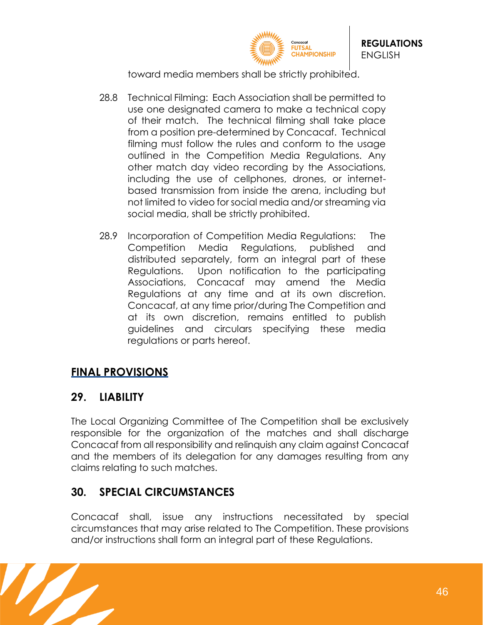

toward media members shall be strictly prohibited.

- 28.8 Technical Filming: Each Association shall be permitted to use one designated camera to make a technical copy of their match. The technical filming shall take place from a position pre-determined by Concacaf. Technical filming must follow the rules and conform to the usage outlined in the Competition Media Regulations. Any other match day video recording by the Associations, including the use of cellphones, drones, or internetbased transmission from inside the arena, including but not limited to video for social media and/or streaming via social media, shall be strictly prohibited.
- 28.9 Incorporation of Competition Media Regulations: The Competition Media Regulations, published and distributed separately, form an integral part of these Regulations. Upon notification to the participating Associations, Concacaf may amend the Media Regulations at any time and at its own discretion. Concacaf, at any time prior/during The Competition and at its own discretion, remains entitled to publish guidelines and circulars specifying these media regulations or parts hereof.

# <span id="page-45-0"></span>**FINAL PROVISIONS**

# <span id="page-45-1"></span>**29. LIABILITY**

The Local Organizing Committee of The Competition shall be exclusively responsible for the organization of the matches and shall discharge Concacaf from all responsibility and relinquish any claim against Concacaf and the members of its delegation for any damages resulting from any claims relating to such matches.

# <span id="page-45-2"></span>**30. SPECIAL CIRCUMSTANCES**

Concacaf shall, issue any instructions necessitated by special circumstances that may arise related to The Competition. These provisions and/or instructions shall form an integral part of these Regulations.